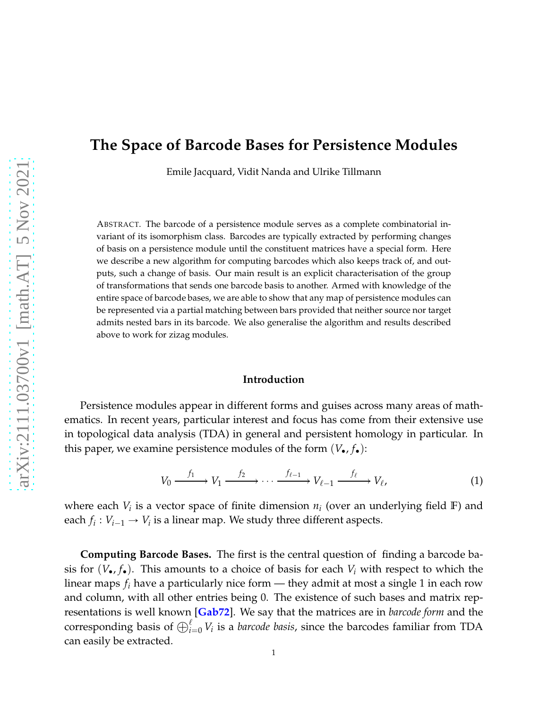# **The Space of Barcode Bases for Persistence Modules**

Emile Jacquard, Vidit Nanda and Ulrike Tillmann

ABSTRACT. The barcode of a persistence module serves as a complete combinatorial invariant of its isomorphism class. Barcodes are typically extracted by performing changes of basis on a persistence module until the constituent matrices have a special form. Here we describe a new algorithm for computing barcodes which also keeps track of, and outputs, such a change of basis. Our main result is an explicit characterisation of the group of transformations that sends one barcode basis to another. Armed with knowledge of the entire space of barcode bases, we are able to show that any map of persistence modules can be represented via a partial matching between bars provided that neither source nor target admits nested bars in its barcode. We also generalise the algorithm and results described above to work for zizag modules.

### <span id="page-0-0"></span>**Introduction**

Persistence modules appear in different forms and guises across many areas of mathematics. In recent years, particular interest and focus has come from their extensive use in topological data analysis (TDA) in general and persistent homology in particular. In this paper, we examine persistence modules of the form  $(V_{\bullet}, f_{\bullet})$ :

$$
V_0 \xrightarrow{f_1} V_1 \xrightarrow{f_2} \cdots \xrightarrow{f_{\ell-1}} V_{\ell-1} \xrightarrow{f_{\ell}} V_{\ell}, \tag{1}
$$

where each  $V_i$  is a vector space of finite dimension  $n_i$  (over an underlying field  $\mathbb{F}$ ) and each  $f_i: V_{i-1} \to V_i$  is a linear map. We study three different aspects.

**Computing Barcode Bases.** The first is the central question of finding a barcode basis for  $(V_{\bullet}, f_{\bullet})$ . This amounts to a choice of basis for each  $V_i$  with respect to which the linear maps *f<sup>i</sup>* have a particularly nice form — they admit at most a single 1 in each row and column, with all other entries being 0. The existence of such bases and matrix representations is well known [**[Gab72](#page-28-0)**]. We say that the matrices are in *barcode form* and the corresponding basis of  $\bigoplus_{i=0}^{\ell} V_i$  is a *barcode basis*, since the barcodes familiar from TDA can easily be extracted.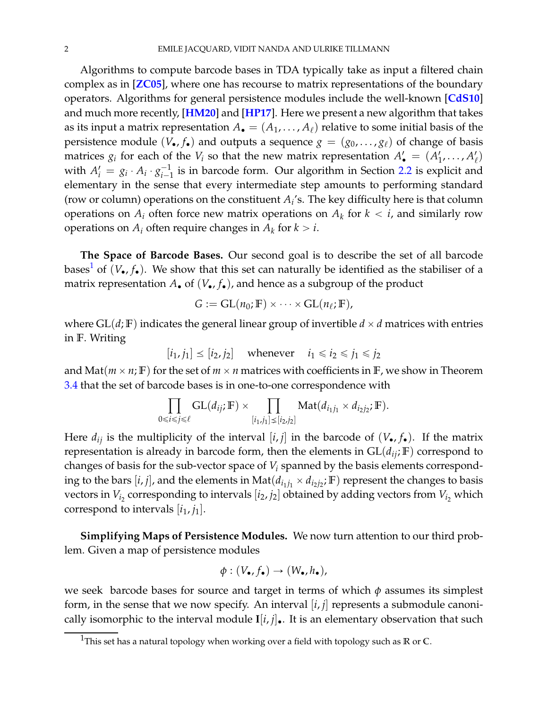Algorithms to compute barcode bases in TDA typically take as input a filtered chain complex as in [**[ZC05](#page-28-1)**], where one has recourse to matrix representations of the boundary operators. Algorithms for general persistence modules include the well-known [**[CdS10](#page-28-2)**] and much more recently, [**[HM20](#page-28-3)**] and [**[HP17](#page-28-4)**]. Here we present a new algorithm that takes as its input a matrix representation  $A_{\bullet} = (A_1, \ldots, A_\ell)$  relative to some initial basis of the persistence module  $(V_{\bullet}, f_{\bullet})$  and outputs a sequence  $g = (g_0, \ldots, g_{\ell})$  of change of basis matrices  $g_i$  for each of the  $V_i$  so that the new matrix representation  $A'_\bullet = (A'_1)$  $'_{1},\ldots,A'_{\ell}$ with  $A'_i = g_i \cdot A_i \cdot g_{i-1}^{-1}$  $\frac{-1}{i-1}$  is in barcode form. Our algorithm in Section [2.2](#page-8-0) is explicit and elementary in the sense that every intermediate step amounts to performing standard (row or column) operations on the constituent  $A_i$ 's. The key difficulty here is that column operations on  $A_i$  often force new matrix operations on  $A_k$  for  $k < i$ , and similarly row operations on  $A_i$  often require changes in  $A_k$  for  $k > i$ .

**The Space of Barcode Bases.** Our second goal is to describe the set of all barcode bases<sup>[1](#page-1-0)</sup> of  $(V_{\bullet}, f_{\bullet})$ . We show that this set can naturally be identified as the stabiliser of a matrix representation  $A_{\bullet}$  of  $(V_{\bullet}, f_{\bullet})$ , and hence as a subgroup of the product

$$
G := GL(n_0; \mathbb{F}) \times \cdots \times GL(n_\ell; \mathbb{F}),
$$

where  $GL(d; \mathbb{F})$  indicates the general linear group of invertible  $d \times d$  matrices with entries in **F**. Writing

$$
[i_1, j_1] \leq [i_2, j_2] \quad \text{whenever} \quad i_1 \leq i_2 \leq j_1 \leq j_2
$$

and Mat $(m \times n; \mathbb{F})$  for the set of  $m \times n$  matrices with coefficients in  $\mathbb{F}$ , we show in Theorem [3.4](#page-12-0) that the set of barcode bases is in one-to-one correspondence with

$$
\prod_{0 \leq i \leq j \leq \ell} GL(d_{ij}; \mathbb{F}) \times \prod_{[i_1,j_1] \leq [i_2,j_2]} Mat(d_{i_1j_1} \times d_{i_2j_2}; \mathbb{F}).
$$

Here  $d_{ij}$  is the multiplicity of the interval  $[i, j]$  in the barcode of  $(V_{\bullet}, f_{\bullet})$ . If the matrix representation is already in barcode form, then the elements in  $GL(d_{ij};F)$  correspond to changes of basis for the sub-vector space of *V<sup>i</sup>* spanned by the basis elements corresponding to the bars  $[i, j]$ , and the elements in  $Mat(d_{i_1j_1}\times d_{i_2j_2}; \mathbb{F})$  represent the changes to basis vectors in  $V_{i_2}$  corresponding to intervals  $[i_2, j_2]$  obtained by adding vectors from  $V_{i_2}$  which correspond to intervals  $[i_1, j_1]$ .

**Simplifying Maps of Persistence Modules.** We now turn attention to our third problem. Given a map of persistence modules

$$
\phi: (V_{\bullet}, f_{\bullet}) \to (W_{\bullet}, h_{\bullet}),
$$

we seek barcode bases for source and target in terms of which  $\phi$  assumes its simplest form, in the sense that we now specify. An interval [*i*, *j*] represents a submodule canonically isomorphic to the interval module  $\mathbf{I}[i, j]$ . It is an elementary observation that such

<span id="page-1-0"></span><sup>1</sup>This set has a natural topology when working over a field with topology such as **R** or **C**.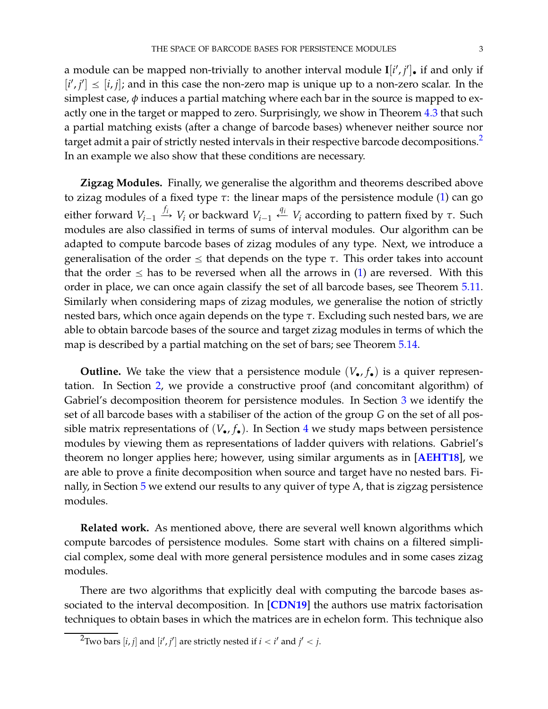a module can be mapped non-trivially to another interval module  $\mathbf{I}[i',j']$  if and only if  $[i', j'] \leq [i, j]$ ; and in this case the non-zero map is unique up to a non-zero scalar. In the simplest case,  $\phi$  induces a partial matching where each bar in the source is mapped to exactly one in the target or mapped to zero. Surprisingly, we show in Theorem [4.3](#page-17-0) that such a partial matching exists (after a change of barcode bases) whenever neither source nor target admit a pair of strictly nested intervals in their respective barcode decompositions. $^2$  $^2$ In an example we also show that these conditions are necessary.

**Zigzag Modules.** Finally, we generalise the algorithm and theorems described above to zizag modules of a fixed type *τ*: the linear maps of the persistence module [\(1\)](#page-0-0) can go either forward  $V_{i-1}$   $\stackrel{f_i}{\longrightarrow}$   $V_i$  or backward  $V_{i-1}$   $\stackrel{q_i}{\longleftarrow}$   $V_i$  according to pattern fixed by *τ*. Such modules are also classified in terms of sums of interval modules. Our algorithm can be adapted to compute barcode bases of zizag modules of any type. Next, we introduce a generalisation of the order  $\leq$  that depends on the type  $\tau$ . This order takes into account that the order  $\leq$  has to be reversed when all the arrows in [\(1\)](#page-0-0) are reversed. With this order in place, we can once again classify the set of all barcode bases, see Theorem [5.11.](#page-27-0) Similarly when considering maps of zizag modules, we generalise the notion of strictly nested bars, which once again depends on the type *τ*. Excluding such nested bars, we are able to obtain barcode bases of the source and target zizag modules in terms of which the map is described by a partial matching on the set of bars; see Theorem [5.14.](#page-28-5)

**Outline.** We take the view that a persistence module  $(V_{\bullet}, f_{\bullet})$  is a quiver representation. In Section [2,](#page-6-0) we provide a constructive proof (and concomitant algorithm) of Gabriel's decomposition theorem for persistence modules. In Section [3](#page-11-0) we identify the set of all barcode bases with a stabiliser of the action of the group *G* on the set of all possible matrix representations of  $(V_{\bullet}, f_{\bullet})$ . In Section [4](#page-15-0) we study maps between persistence modules by viewing them as representations of ladder quivers with relations. Gabriel's theorem no longer applies here; however, using similar arguments as in [**[AEHT18](#page-28-6)**], we are able to prove a finite decomposition when source and target have no nested bars. Finally, in Section [5](#page-21-0) we extend our results to any quiver of type A, that is zigzag persistence modules.

**Related work.** As mentioned above, there are several well known algorithms which compute barcodes of persistence modules. Some start with chains on a filtered simplicial complex, some deal with more general persistence modules and in some cases zizag modules.

There are two algorithms that explicitly deal with computing the barcode bases associated to the interval decomposition. In [**[CDN19](#page-28-7)**] the authors use matrix factorisation techniques to obtain bases in which the matrices are in echelon form. This technique also

<span id="page-2-0"></span> $^{2}$ Two bars  $[i, j]$  and  $[i', j']$  are strictly nested if  $i < i'$  and  $j' < j$ .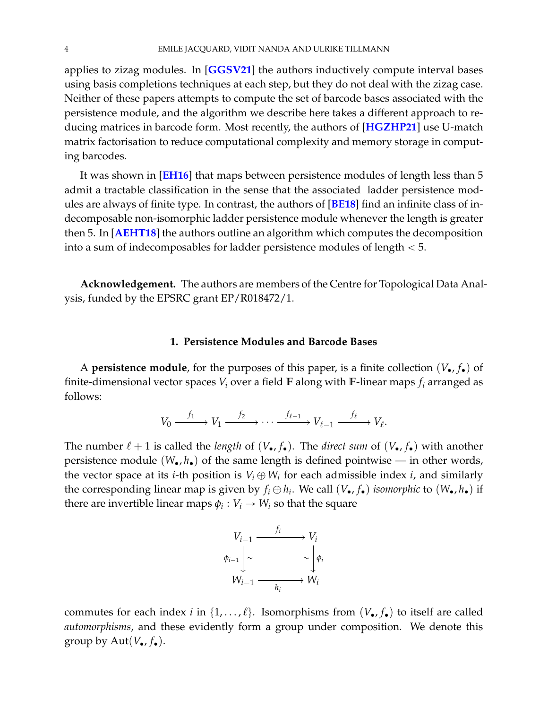applies to zizag modules. In [**[GGSV21](#page-28-8)**] the authors inductively compute interval bases using basis completions techniques at each step, but they do not deal with the zizag case. Neither of these papers attempts to compute the set of barcode bases associated with the persistence module, and the algorithm we describe here takes a different approach to reducing matrices in barcode form. Most recently, the authors of [**[HGZHP21](#page-28-9)**] use U-match matrix factorisation to reduce computational complexity and memory storage in computing barcodes.

It was shown in [**[EH16](#page-28-10)**] that maps between persistence modules of length less than 5 admit a tractable classification in the sense that the associated ladder persistence modules are always of finite type. In contrast, the authors of [**[BE18](#page-28-11)**] find an infinite class of indecomposable non-isomorphic ladder persistence module whenever the length is greater then 5. In [**[AEHT18](#page-28-6)**] the authors outline an algorithm which computes the decomposition into a sum of indecomposables for ladder persistence modules of length  $<$  5.

<span id="page-3-0"></span>**Acknowledgement.** The authors are members of the Centre for Topological Data Analysis, funded by the EPSRC grant EP/R018472/1.

### **1. Persistence Modules and Barcode Bases**

A **persistence module**, for the purposes of this paper, is a finite collection  $(V_{\bullet}, f_{\bullet})$  of finite-dimensional vector spaces  $V_i$  over a field  $\mathbb F$  along with  $\mathbb F$ -linear maps  $f_i$  arranged as follows:

$$
V_0 \xrightarrow{f_1} V_1 \xrightarrow{f_2} \cdots \xrightarrow{f_{\ell-1}} V_{\ell-1} \xrightarrow{f_{\ell}} V_{\ell}.
$$

The number  $\ell + 1$  is called the *length* of  $(V_{\bullet}, f_{\bullet})$ . The *direct sum* of  $(V_{\bullet}, f_{\bullet})$  with another persistence module  $(W_{\bullet}, h_{\bullet})$  of the same length is defined pointwise — in other words, the vector space at its *i*-th position is  $V_i \oplus W_i$  for each admissible index *i*, and similarly the corresponding linear map is given by  $f_i \oplus h_i$ . We call  $(V_\bullet, f_\bullet)$  *isomorphic* to  $(W_\bullet, h_\bullet)$  if there are invertible linear maps  $\phi_i: V_i \to W_i$  so that the square

$$
V_{i-1} \xrightarrow{f_i} V_i
$$
  
\n
$$
\phi_{i-1} \downarrow \sim \sim \downarrow \phi_i
$$
  
\n
$$
W_{i-1} \xrightarrow{h_i} W_i
$$

commutes for each index *i* in  $\{1, \ldots, \ell\}$ . Isomorphisms from  $(V_{\bullet}, f_{\bullet})$  to itself are called *automorphisms*, and these evidently form a group under composition. We denote this group by  $Aut(V_{\bullet}, f_{\bullet}).$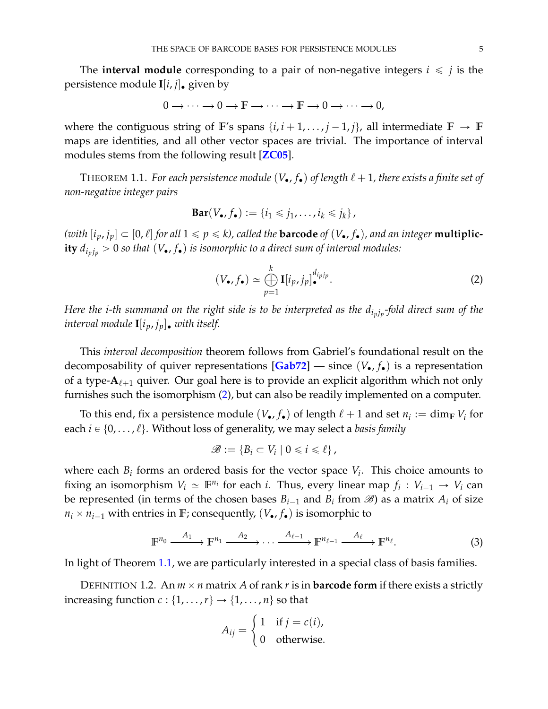The **interval module** corresponding to a pair of non-negative integers  $i \leq j$  is the persistence module  $I[i, j]$ , given by

$$
0\longrightarrow \cdots \longrightarrow 0 \longrightarrow {\mathbb F} \longrightarrow \cdots \longrightarrow {\mathbb F} \longrightarrow 0 \longrightarrow \cdots \longrightarrow 0,
$$

where the contiguous string of **F**'s spans  $\{i, i+1, \ldots, j-1, j\}$ , all intermediate  $\mathbb{F} \to \mathbb{F}$ maps are identities, and all other vector spaces are trivial. The importance of interval modules stems from the following result [**[ZC05](#page-28-1)**].

<span id="page-4-1"></span>THEOREM 1.1. *For each persistence module*  $(V_{\bullet}, f_{\bullet})$  *of length*  $\ell + 1$ *, there exists a finite set of non-negative integer pairs*

$$
\mathbf{Bar}(V_{\bullet}, f_{\bullet}) := \{i_1 \leq j_1, \ldots, i_k \leq j_k\},\,
$$

*(with*  $[i_p, j_p] \subset [0, \ell]$  *for all*  $1 \leq p \leq k$ *), called the* **barcode** *of*  $(V_{\bullet}, f_{\bullet})$ *, and an integer* **multiplic-** $\mathbf{i}$ **ty**  $d_{i_pj_p} > 0$  so that  $(V_\bullet, f_\bullet)$  is isomorphic to a direct sum of interval modules:

<span id="page-4-0"></span>
$$
(V_{\bullet}, f_{\bullet}) \simeq \bigoplus_{p=1}^{k} \mathbf{I}[i_{p}, j_{p}]_{\bullet}^{d_{ipjp}}.
$$
 (2)

*Here the i-th summand on the right side is to be interpreted as the di<sup>p</sup> <sup>j</sup><sup>p</sup> -fold direct sum of the interval module*  $\mathbf{I}[i_p, j_p]$ *. with itself.* 

This *interval decomposition* theorem follows from Gabriel's foundational result on the decomposability of quiver representations  $[Gab72]$  $[Gab72]$  $[Gab72]$  — since  $(V_{\bullet}, f_{\bullet})$  is a representation of a type-**A**ℓ+<sup>1</sup> quiver. Our goal here is to provide an explicit algorithm which not only furnishes such the isomorphism [\(2\)](#page-4-0), but can also be readily implemented on a computer.

To this end, fix a persistence module  $(V_{\bullet}, f_{\bullet})$  of length  $\ell + 1$  and set  $n_i := \dim_{\mathbb{F}} V_i$  for each  $i \in \{0, \ldots, \ell\}$ . Without loss of generality, we may select a *basis family* 

$$
\mathscr{B} := \{B_i \subset V_i \mid 0 \leq i \leq \ell\},\
$$

where each *B<sup>i</sup>* forms an ordered basis for the vector space *V<sup>i</sup>* . This choice amounts to fixing an isomorphism  $V_i \simeq \mathbb{F}^{n_i}$  for each *i*. Thus, every linear map  $f_i: V_{i-1} \to V_i$  can be represented (in terms of the chosen bases  $B_{i-1}$  and  $B_i$  from  $\mathscr{B}$ ) as a matrix  $A_i$  of size  $n_i \times n_{i-1}$  with entries in **F**; consequently,  $(V_{\bullet}, f_{\bullet})$  is isomorphic to

$$
\mathbb{F}^{n_0} \xrightarrow{A_1} \mathbb{F}^{n_1} \xrightarrow{A_2} \cdots \xrightarrow{A_{\ell-1}} \mathbb{F}^{n_{\ell-1}} \xrightarrow{A_{\ell}} \mathbb{F}^{n_{\ell}}.
$$
 (3)

In light of Theorem [1.1,](#page-4-1) we are particularly interested in a special class of basis families.

<span id="page-4-3"></span>DEFINITION 1.2. An  $m \times n$  matrix A of rank  $r$  is in **barcode form** if there exists a strictly increasing function  $c: \{1, \ldots, r\} \rightarrow \{1, \ldots, n\}$  so that

<span id="page-4-2"></span>
$$
A_{ij} = \begin{cases} 1 & \text{if } j = c(i), \\ 0 & \text{otherwise.} \end{cases}
$$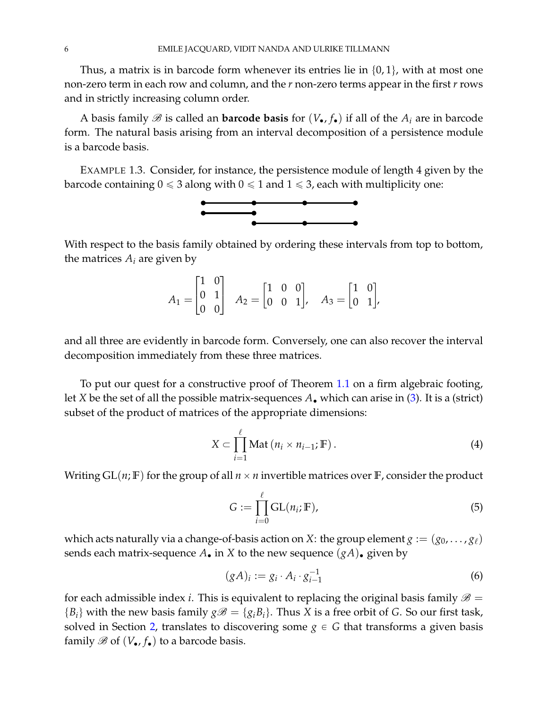Thus, a matrix is in barcode form whenever its entries lie in  $\{0, 1\}$ , with at most one non-zero term in each row and column, and the *r* non-zero terms appear in the first *r* rows and in strictly increasing column order.

A basis family  $\mathscr B$  is called an **barcode basis** for  $(V_{\bullet}, f_{\bullet})$  if all of the  $A_i$  are in barcode form. The natural basis arising from an interval decomposition of a persistence module is a barcode basis.

EXAMPLE 1.3. Consider, for instance, the persistence module of length 4 given by the barcode containing  $0 \leq 3$  along with  $0 \leq 1$  and  $1 \leq 3$ , each with multiplicity one:



With respect to the basis family obtained by ordering these intervals from top to bottom, the matrices  $A_i$  are given by

$$
A_1 = \begin{bmatrix} 1 & 0 \\ 0 & 1 \\ 0 & 0 \end{bmatrix} \quad A_2 = \begin{bmatrix} 1 & 0 & 0 \\ 0 & 0 & 1 \end{bmatrix}, \quad A_3 = \begin{bmatrix} 1 & 0 \\ 0 & 1 \end{bmatrix},
$$

and all three are evidently in barcode form. Conversely, one can also recover the interval decomposition immediately from these three matrices.

To put our quest for a constructive proof of Theorem [1.1](#page-4-1) on a firm algebraic footing, let *X* be the set of all the possible matrix-sequences  $A_{\bullet}$  which can arise in [\(3\)](#page-4-2). It is a (strict) subset of the product of matrices of the appropriate dimensions:

$$
X \subset \prod_{i=1}^{\ell} \mathrm{Mat}\left(n_i \times n_{i-1}; \mathbb{F}\right). \tag{4}
$$

Writing  $GL(n;\mathbb{F})$  for the group of all  $n \times n$  invertible matrices over  $\mathbb{F}$ , consider the product

<span id="page-5-1"></span><span id="page-5-0"></span>
$$
G := \prod_{i=0}^{\ell} GL(n_i; \mathbb{F}), \tag{5}
$$

which acts naturally via a change-of-basis action on *X*: the group element  $g := (g_0, \ldots, g_\ell)$ sends each matrix-sequence  $A_{\bullet}$  in  $X$  to the new sequence  $(gA)_{\bullet}$  given by

<span id="page-5-2"></span>
$$
(gA)_i := g_i \cdot A_i \cdot g_{i-1}^{-1}
$$
 (6)

for each admissible index *i*. This is equivalent to replacing the original basis family  $\mathscr{B}$  =  $\{B_i\}$  with the new basis family  $g\mathscr{B} = \{g_iB_i\}$ . Thus *X* is a free orbit of *G*. So our first task, solved in Section [2,](#page-6-0) translates to discovering some  $g \in G$  that transforms a given basis family  $\mathscr{B}$  of  $(V_{\bullet}, f_{\bullet})$  to a barcode basis.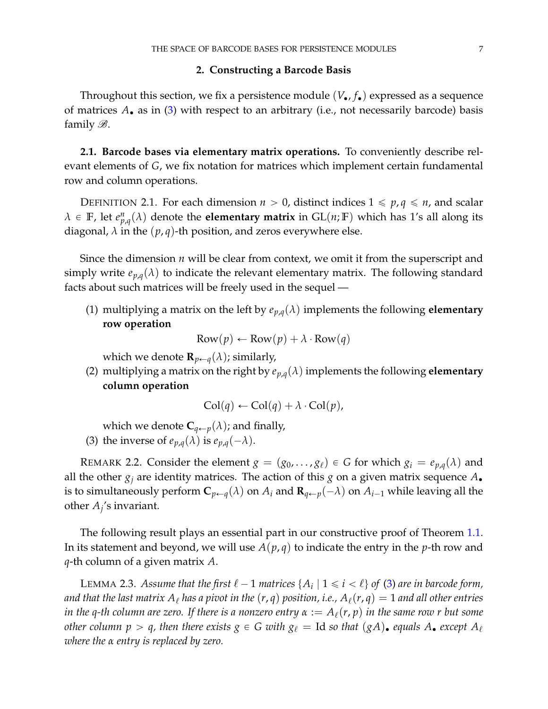#### **2. Constructing a Barcode Basis**

<span id="page-6-0"></span>Throughout this section, we fix a persistence module  $(V_{\bullet}, f_{\bullet})$  expressed as a sequence of matrices  $A_{\bullet}$  as in [\(3\)](#page-4-2) with respect to an arbitrary (i.e., not necessarily barcode) basis family  $\mathscr{B}$ .

**2.1. Barcode bases via elementary matrix operations.** To conveniently describe relevant elements of *G*, we fix notation for matrices which implement certain fundamental row and column operations.

DEFINITION 2.1. For each dimension  $n > 0$ , distinct indices  $1 \leq p, q \leq n$ , and scalar  $\lambda \in \mathbb{F}$ , let  $e_{p,q}^n(\lambda)$  denote the **elementary matrix** in  $GL(n;\mathbb{F})$  which has 1's all along its diagonal,  $\lambda$  in the  $(p, q)$ -th position, and zeros everywhere else.

Since the dimension *n* will be clear from context, we omit it from the superscript and simply write  $e_{p,q}(\lambda)$  to indicate the relevant elementary matrix. The following standard facts about such matrices will be freely used in the sequel —

(1) multiplying a matrix on the left by  $e_{p,q}(\lambda)$  implements the following **elementary row operation**

 $Row(p) \leftarrow Row(p) + \lambda \cdot Row(q)$ 

which we denote **R**<sub>*p* $\leftarrow q(\lambda)$ ; similarly,</sub>

(2) multiplying a matrix on the right by  $e_{p,q}(\lambda)$  implements the following **elementary column operation**

$$
Col(q) \leftarrow Col(q) + \lambda \cdot Col(p),
$$

which we denote  $C_{q \leftarrow p}(\lambda)$ ; and finally,

(3) the inverse of  $e_{p,q}(\lambda)$  is  $e_{p,q}(-\lambda)$ .

<span id="page-6-1"></span>REMARK 2.2. Consider the element  $g = (g_0, \ldots, g_\ell) \in G$  for which  $g_i = e_{p,q}(\lambda)$  and all the other  $g_j$  are identity matrices. The action of this *g* on a given matrix sequence  $A_{\bullet}$ is to simultaneously perform  $C_{p \leftarrow q}(\lambda)$  on  $A_i$  and  $\mathbf{R}_{q \leftarrow p}(-\lambda)$  on  $A_{i-1}$  while leaving all the other  $A_j$ 's invariant.

The following result plays an essential part in our constructive proof of Theorem [1.1.](#page-4-1) In its statement and beyond, we will use  $A(p,q)$  to indicate the entry in the *p*-th row and *q*-th column of a given matrix *A*.

<span id="page-6-2"></span>LEMMA 2.3. *Assume that the first*  $\ell - 1$  *matrices*  $\{A_i \mid 1 \leq i < \ell\}$  of [\(3\)](#page-4-2) are in barcode form, *and that the last matrix*  $A_\ell$  *has a pivot in the*  $(r, q)$  *position, i.e.,*  $A_\ell(r, q) = 1$  *and all other entries in the q-th column are zero. If there is a nonzero entry*  $\alpha := A_{\ell}(r, p)$  *in the same row r but some other column*  $p > q$ *, then there exists*  $g \in G$  *with*  $g_\ell = Id$  *so that*  $(gA)$ , *equals*  $A$ , *except*  $A_\ell$ *where the α entry is replaced by zero.*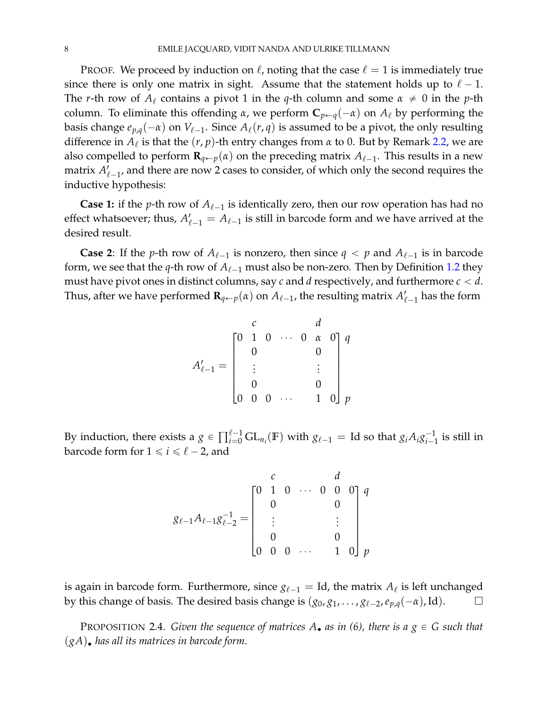PROOF. We proceed by induction on  $\ell$ , noting that the case  $\ell = 1$  is immediately true since there is only one matrix in sight. Assume that the statement holds up to  $\ell - 1$ . The *r*-th row of  $A_\ell$  contains a pivot 1 in the *q*-th column and some  $\alpha \neq 0$  in the *p*-th column. To eliminate this offending  $\alpha$ , we perform  $C_{p \leftarrow q}(-\alpha)$  on  $A_{\ell}$  by performing the basis change  $e_{p,q}(-\alpha)$  on  $V_{\ell-1}$ . Since  $A_{\ell}(r,q)$  is assumed to be a pivot, the only resulting difference in *A*ℓ is that the (*r*, *p*)-th entry changes from *α* to 0. But by Remark [2.2,](#page-6-1) we are also compelled to perform  $\mathbf{R}_{q \leftarrow p}(\alpha)$  on the preceding matrix  $A_{\ell-1}$ . This results in a new matrix  $A'_{\ell-1}$ , and there are now 2 cases to consider, of which only the second requires the inductive hypothesis:

**Case 1:** if the *p*-th row of  $A_{\ell-1}$  is identically zero, then our row operation has had no effect whatsoever; thus,  $A'_{\ell-1} = A_{\ell-1}$  is still in barcode form and we have arrived at the desired result.

**Case 2:** If the *p*-th row of  $A_{\ell-1}$  is nonzero, then since  $q < p$  and  $A_{\ell-1}$  is in barcode form, we see that the  $q$ -th row of  $A_{\ell-1}$  must also be non-zero. Then by Definition [1.2](#page-4-3) they must have pivot ones in distinct columns, say  $c$  and  $d$  respectively, and furthermore  $c < d$ . Thus, after we have performed  $\mathbf{R}_{q\leftarrow p}(\alpha)$  on  $A_{\ell-1}$ , the resulting matrix  $A'_{\ell-1}$  has the form

$$
A'_{\ell-1} = \begin{bmatrix} 0 & 1 & 0 & \cdots & 0 & \alpha & 0 \\ 0 & 1 & 0 & \cdots & 0 & \alpha & 0 \\ 0 & & & & & & 0 \\ \vdots & & & & & \vdots & \\ 0 & 0 & 0 & \cdots & 1 & 0 \end{bmatrix} p
$$

By induction, there exists a  $g \in \prod_{i=0}^{\ell-1} \mathrm{GL}_{n_i}(\mathbb{F})$  with  $g_{\ell-1} = \text{Id}$  so that  $g_iA_i g_{i-j}^{-1}$  $\frac{1}{i-1}$  is still in barcode form for  $1 \le i \le \ell - 2$ , and

$$
g_{\ell-1}A_{\ell-1}g_{\ell-2}^{-1} = \begin{bmatrix} 0 & 1 & 0 & \cdots & 0 & 0 & 0 \\ 0 & 1 & 0 & \cdots & 0 & 0 & 0 \\ 0 & 0 & & & & & 0 \\ 0 & 0 & 0 & \cdots & 1 & 0 \end{bmatrix} p
$$

is again in barcode form. Furthermore, since  $g_{\ell-1} = \text{Id}$ , the matrix  $A_{\ell}$  is left unchanged by this change of basis. The desired basis change is  $(g_0, g_1, \ldots, g_{\ell-2}, e_{p,q}(-\alpha), \text{Id})$ .

<span id="page-7-0"></span>PROPOSITION 2.4. *Given the sequence of matrices*  $A_{\bullet}$  *as in (6), there is a*  $g \in G$  *such that*  $(gA)$ . has all its matrices in barcode form.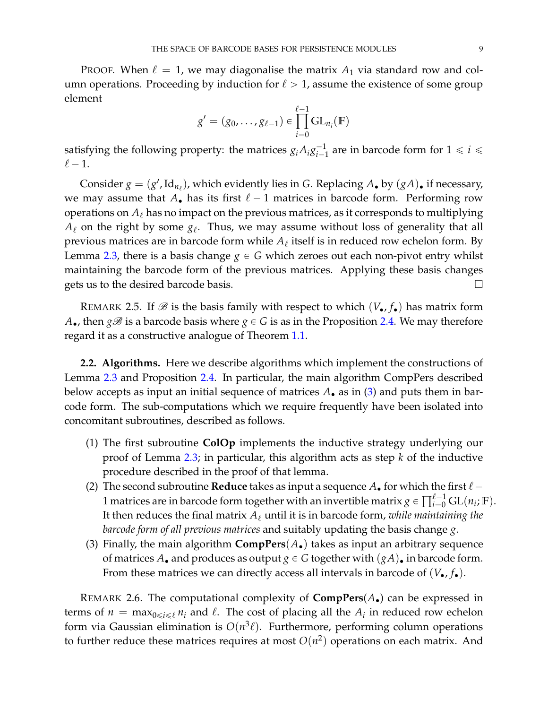PROOF. When  $\ell = 1$ , we may diagonalise the matrix  $A_1$  via standard row and column operations. Proceeding by induction for  $\ell > 1$ , assume the existence of some group element

$$
g'=(g_0,\ldots,g_{\ell-1})\in \prod_{i=0}^{\ell-1}\mathrm{GL}_{n_i}(\mathbb{F})
$$

satisfying the following property: the matrices  $g_iA_i g_{i-j}^{-1}$  $\sum_{i=1}^{n}$  are in barcode form for  $1 \leq i \leq n$  $\ell - 1$ .

Consider  $g = (g', \text{Id}_{n_\ell})$ , which evidently lies in *G*. Replacing  $A_\bullet$  by  $(gA)_\bullet$  if necessary, we may assume that  $A_{\bullet}$  has its first  $\ell - 1$  matrices in barcode form. Performing row operations on  $A_\ell$  has no impact on the previous matrices, as it corresponds to multiplying  $A_\ell$  on the right by some  $g_\ell.$  Thus, we may assume without loss of generality that all previous matrices are in barcode form while  $A_\ell$  itself is in reduced row echelon form. By Lemma [2.3,](#page-6-2) there is a basis change  $g \in G$  which zeroes out each non-pivot entry whilst maintaining the barcode form of the previous matrices. Applying these basis changes gets us to the desired barcode basis.

REMARK 2.5. If  $\mathscr{B}$  is the basis family with respect to which  $(V_{\bullet}, f_{\bullet})$  has matrix form *A*<sub> $\bullet$ </sub>, then *g* $\mathscr B$  is a barcode basis where *g*  $\in$  *G* is as in the Proposition [2.4.](#page-7-0) We may therefore regard it as a constructive analogue of Theorem [1.1.](#page-4-1)

<span id="page-8-0"></span>**2.2. Algorithms.** Here we describe algorithms which implement the constructions of Lemma [2.3](#page-6-2) and Proposition [2.4.](#page-7-0) In particular, the main algorithm CompPers described below accepts as input an initial sequence of matrices  $A_{\bullet}$  as in [\(3\)](#page-4-2) and puts them in barcode form. The sub-computations which we require frequently have been isolated into concomitant subroutines, described as follows.

- (1) The first subroutine **ColOp** implements the inductive strategy underlying our proof of Lemma [2.3;](#page-6-2) in particular, this algorithm acts as step *k* of the inductive procedure described in the proof of that lemma.
- (2) The second subroutine **Reduce** takes as input a sequence  $A_{\bullet}$  for which the first  $\ell$  1 matrices are in barcode form together with an invertible matrix  $g \in \prod_{i=0}^{\ell-1} GL(n_i; \mathbb{F})$ . It then reduces the final matrix *A*ℓ until it is in barcode form, *while maintaining the barcode form of all previous matrices* and suitably updating the basis change *g*.
- (3) Finally, the main algorithm  $CompPers(A_{\bullet})$  takes as input an arbitrary sequence of matrices  $A_{\bullet}$  and produces as output  $g \in G$  together with  $(gA)_{\bullet}$  in barcode form. From these matrices we can directly access all intervals in barcode of  $(V_{\bullet}, f_{\bullet})$ .

REMARK 2.6. The computational complexity of **CompPers**(*A*') can be expressed in terms of  $n = \max_{0 \le i \le \ell} n_i$  and  $\ell$ . The cost of placing all the  $A_i$  in reduced row echelon form via Gaussian elimination is  $O(n^3 \ell)$ . Furthermore, performing column operations to further reduce these matrices requires at most  $O(n^2)$  operations on each matrix. And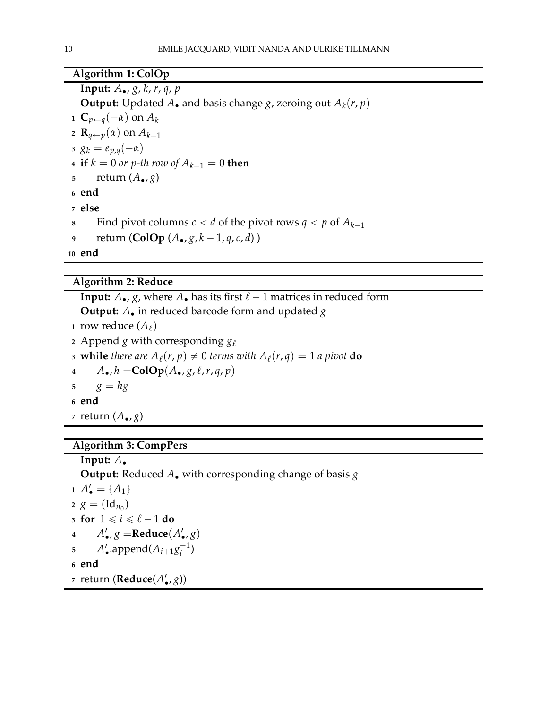## **Algorithm 1: ColOp**

**Input:** *A*', *g*, *k*, *r*, *q*, *p* **Output:** Updated  $A_{\bullet}$  and basis change *g*, zeroing out  $A_k(r, p)$ **1**  $\mathbf{C}_{p \leftarrow q}(-\alpha)$  on  $A_k$ **2 R**<sub>*q*</sub> $\leftarrow$ *p*( $\alpha$ ) on  $A_{k-1}$ **3**  $g_k = e_{p,q}(-\alpha)$ **4 if**  $k = 0$  *or p-th row of*  $A_{k-1} = 0$  **then**  $\mathfrak{b}$  return  $(A_{\bullet}, g)$ **<sup>6</sup> end <sup>7</sup> else 8** Find pivot columns  $c < d$  of the pivot rows  $q < p$  of  $A_{k-1}$ **9**  $\left[ \text{return } (\text{ColOp}(A_{\bullet}, g, k-1, q, c, d)) \right]$ **<sup>10</sup> end**

## **Algorithm 2: Reduce**

**Input:**  $A_{\bullet}$ , *g*, where  $A_{\bullet}$  has its first  $\ell - 1$  matrices in reduced form **Output:**  $A_{\bullet}$  in reduced barcode form and updated *g* 

- **1** row reduce  $(A_\ell)$
- **<sup>2</sup>** Append *g* with corresponding *g*ℓ

**3 while** *there are*  $A_{\ell}(r, p) \neq 0$  *terms with*  $A_{\ell}(r, q) = 1$  *a pivot* **do** 

**4**  $A_{\bullet}, h = \text{ColOp}(A_{\bullet}, g, \ell, r, q, p)$ 

- $g = hg$
- **<sup>6</sup> end**
- *7* return  $(A_{\bullet}, g)$

# **Algorithm 3: CompPers**

**Input:** *A*' **Output:** Reduced *A*. with corresponding change of basis *g* **1**  $A'_\bullet = \{A_1\}$ **2**  $g = (Id_{n_0})$ **3** for  $1 \leq i \leq \ell - 1$  do 4  $A'_\bullet$ , *g* = **Reduce**( $A'_\bullet$ , *g*) 5  $A'_\bullet$ .append $(A_{i+1}g_i^{-1})$  $\binom{-1}{i}$ **<sup>6</sup> end <sup>7</sup>** return (**Reduce**(*A* 1 ' , *g*))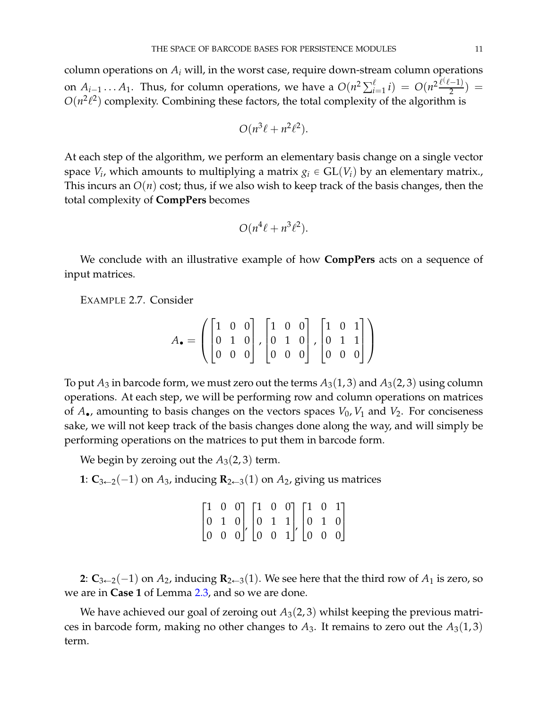column operations on *A<sup>i</sup>* will, in the worst case, require down-stream column operations on  $A_{i-1} \ldots A_1$ . Thus, for column operations, we have a  $O(n^2 \sum_{i=1}^{\ell} i) = O(n^2 \frac{\ell^{\ell} \ell - 1}{2})$  $\frac{-1}{2}$ ) =  $O(n^2\ell^2)$  complexity. Combining these factors, the total complexity of the algorithm is

$$
O(n^3\ell+n^2\ell^2).
$$

At each step of the algorithm, we perform an elementary basis change on a single vector space  $V_i$ , which amounts to multiplying a matrix  $g_i \in \mathrm{GL}(V_i)$  by an elementary matrix., This incurs an  $O(n)$  cost; thus, if we also wish to keep track of the basis changes, then the total complexity of **CompPers** becomes

$$
O(n^4\ell+n^3\ell^2).
$$

We conclude with an illustrative example of how **CompPers** acts on a sequence of input matrices.

EXAMPLE 2.7. Consider

$$
A_{\bullet} = \left( \begin{bmatrix} 1 & 0 & 0 \\ 0 & 1 & 0 \\ 0 & 0 & 0 \end{bmatrix}, \begin{bmatrix} 1 & 0 & 0 \\ 0 & 1 & 0 \\ 0 & 0 & 0 \end{bmatrix}, \begin{bmatrix} 1 & 0 & 1 \\ 0 & 1 & 1 \\ 0 & 0 & 0 \end{bmatrix} \right)
$$

To put  $A_3$  in barcode form, we must zero out the terms  $A_3(1,3)$  and  $A_3(2,3)$  using column operations. At each step, we will be performing row and column operations on matrices of  $A_{\bullet}$ , amounting to basis changes on the vectors spaces  $V_0$ ,  $V_1$  and  $V_2$ . For conciseness sake, we will not keep track of the basis changes done along the way, and will simply be performing operations on the matrices to put them in barcode form.

We begin by zeroing out the  $A_3(2,3)$  term.

1:  $C_{3\leftarrow 2}(-1)$  on  $A_3$ , inducing  $R_{2\leftarrow 3}(1)$  on  $A_2$ , giving us matrices

|  |  |  | $\begin{bmatrix} 1 & 0 & 0 \end{bmatrix} \begin{bmatrix} 1 & 0 & 0 \end{bmatrix} \begin{bmatrix} 1 & 0 & 1 \end{bmatrix}$                                                |  |  |  |
|--|--|--|--------------------------------------------------------------------------------------------------------------------------------------------------------------------------|--|--|--|
|  |  |  | $\begin{bmatrix} 0 & 1 & 0 \\ 0 & 0 & 0 \end{bmatrix}$ , $\begin{bmatrix} 0 & 1 & 1 \\ 0 & 0 & 1 \end{bmatrix}$ , $\begin{bmatrix} 0 & 1 & 0 \\ 0 & 0 & 0 \end{bmatrix}$ |  |  |  |
|  |  |  |                                                                                                                                                                          |  |  |  |

**2**:  $C_{3\leftarrow 2}(-1)$  on  $A_2$ , inducing  $\mathbf{R}_{2\leftarrow 3}(1)$ . We see here that the third row of  $A_1$  is zero, so we are in **Case 1** of Lemma [2.3,](#page-6-2) and so we are done.

We have achieved our goal of zeroing out  $A_3(2,3)$  whilst keeping the previous matrices in barcode form, making no other changes to  $A_3$ . It remains to zero out the  $A_3(1,3)$ term.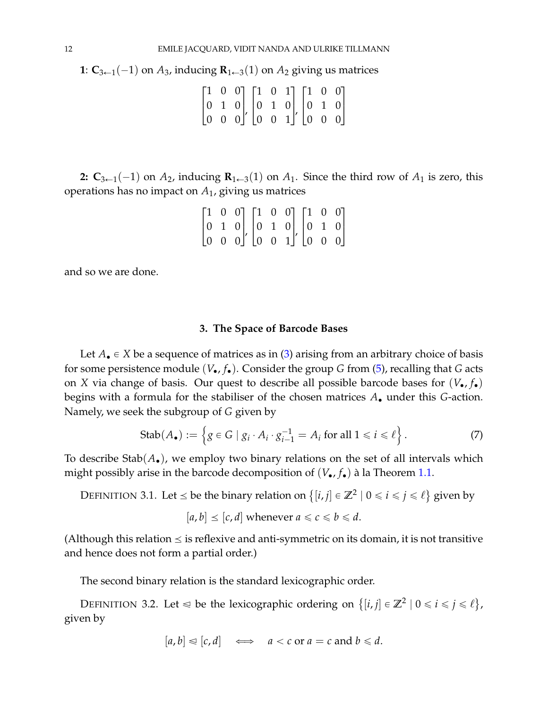1:  $C_{3\leftarrow 1}(-1)$  on  $A_3$ , inducing  $R_{1\leftarrow 3}(1)$  on  $A_2$  giving us matrices

|  |  |  |  |  | $\begin{bmatrix} 1 & 0 & 0 \\ 0 & 1 & 0 \\ 0 & 0 & 0 \end{bmatrix}, \begin{bmatrix} 1 & 0 & 1 \\ 0 & 1 & 0 \\ 0 & 0 & 1 \end{bmatrix}, \begin{bmatrix} 1 & 0 & 0 \\ 0 & 1 & 0 \\ 0 & 0 & 0 \end{bmatrix}$ |  |
|--|--|--|--|--|-----------------------------------------------------------------------------------------------------------------------------------------------------------------------------------------------------------|--|

**2:**  $C_{3\leftarrow 1}(-1)$  on  $A_2$ , inducing  $\mathbf{R}_{1\leftarrow 3}(1)$  on  $A_1$ . Since the third row of  $A_1$  is zero, this operations has no impact on *A*1, giving us matrices

|  |  |  | $\begin{bmatrix} 1 & 0 & 0 \end{bmatrix} \begin{bmatrix} 1 & 0 & 0 \end{bmatrix} \begin{bmatrix} 1 & 0 & 0 \end{bmatrix}$                                            |  |  |  |
|--|--|--|----------------------------------------------------------------------------------------------------------------------------------------------------------------------|--|--|--|
|  |  |  |                                                                                                                                                                      |  |  |  |
|  |  |  | $\begin{bmatrix} 0 & 1 & 0 \\ 0 & 0 & 0 \end{bmatrix}$ $\begin{bmatrix} 0 & 1 & 0 \\ 0 & 0 & 1 \end{bmatrix}$ $\begin{bmatrix} 0 & 1 & 0 \\ 0 & 0 & 0 \end{bmatrix}$ |  |  |  |

<span id="page-11-0"></span>and so we are done.

#### **3. The Space of Barcode Bases**

Let  $A_{\bullet} \in X$  be a sequence of matrices as in [\(3\)](#page-4-2) arising from an arbitrary choice of basis for some persistence module (*V*', *f*'). Consider the group *G* from [\(5\)](#page-5-0), recalling that *G* acts on *X* via change of basis. Our quest to describe all possible barcode bases for  $(V_{\bullet}, f_{\bullet})$ begins with a formula for the stabiliser of the chosen matrices  $A_{\bullet}$  under this *G*-action. Namely, we seek the subgroup of *G* given by

$$
\text{Stab}(A_{\bullet}) := \left\{ g \in G \mid g_i \cdot A_i \cdot g_{i-1}^{-1} = A_i \text{ for all } 1 \leq i \leq \ell \right\}.
$$
 (7)

To describe Stab $(A_{\bullet})$ , we employ two binary relations on the set of all intervals which might possibly arise in the barcode decomposition of  $(V_{\bullet}, f_{\bullet})$  à la Theorem [1.1.](#page-4-1)

DEFINITION 3.1. Let  $\leq$  be the binary relation on  $\{ [i, j] \in \mathbb{Z}^2 \mid 0 \leq i \leq j \leq l \}$  given by

$$
[a, b] \leq [c, d]
$$
 whenever  $a \leq c \leq b \leq d$ .

(Although this relation  $\leq$  is reflexive and anti-symmetric on its domain, it is not transitive and hence does not form a partial order.)

The second binary relation is the standard lexicographic order.

DEFINITION 3.2. Let  $\leq$  be the lexicographic ordering on  $\{ [i, j] \in \mathbb{Z}^2 \mid 0 \leq i \leq j \leq \ell \}$ , given by

$$
[a,b] \leq [c,d] \iff a < c \text{ or } a = c \text{ and } b \leq d.
$$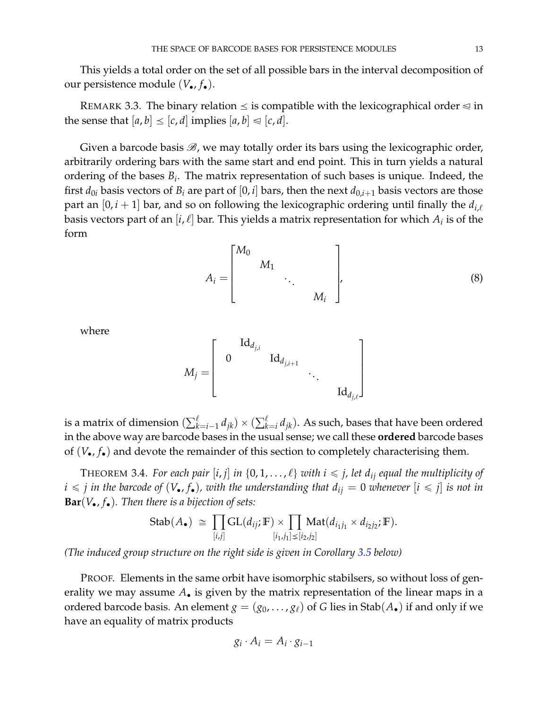This yields a total order on the set of all possible bars in the interval decomposition of our persistence module ( $V_{\bullet}$ ,  $f_{\bullet}$ ).

REMARK 3.3. The binary relation  $\leq$  is compatible with the lexicographical order  $\leq$  in the sense that  $[a, b] \leq [c, d]$  implies  $[a, b] \leq [c, d]$ .

Given a barcode basis  $\mathcal{B}$ , we may totally order its bars using the lexicographic order, arbitrarily ordering bars with the same start and end point. This in turn yields a natural ordering of the bases *B<sup>i</sup>* . The matrix representation of such bases is unique. Indeed, the first  $d_{0i}$  basis vectors of  $B_i$  are part of [0, *i*] bars, then the next  $d_{0,i+1}$  basis vectors are those part an  $[0, i + 1]$  bar, and so on following the lexicographic ordering until finally the  $d_{i,\ell}$ basis vectors part of an  $[i, \ell]$  bar. This yields a matrix representation for which  $A_i$  is of the form

<span id="page-12-1"></span>
$$
A_i = \begin{bmatrix} M_0 & & & \\ & M_1 & & \\ & & \ddots & \\ & & & M_i \end{bmatrix},
$$
 (8)

where

$$
M_j = \begin{bmatrix} \operatorname{Id}_{d_{j,i}} & & \\ 0 & \operatorname{Id}_{d_{j,i+1}} & \\ & \ddots & \\ & & \operatorname{Id}_{d_{j,\ell}} \end{bmatrix}
$$

is a matrix of dimension  $(\sum_{k=i-1}^{\ell}d_{jk})\times (\sum_{k=i}^{\ell}d_{jk}).$  As such, bases that have been ordered in the above way are barcode bases in the usual sense; we call these **ordered** barcode bases of  $(V_{\bullet}, f_{\bullet})$  and devote the remainder of this section to completely characterising them.

<span id="page-12-0"></span>THEOREM 3.4. *For each pair* [*i*, *j*] *in* {0, 1, . . . ,  $\ell$ } *with i*  $\leq$  *j*, let  $d_{ij}$  *equal the multiplicity of*  $i \le j$  *in the barcode of*  $(V_{\bullet}, f_{\bullet})$ *, with the understanding that*  $d_{ij} = 0$  *whenever*  $[i \le j]$  *is not in* **Bar**( $V_{\bullet}$ ,  $f_{\bullet}$ ). Then there is a bijection of sets:

$$
\mathrm{Stab}(A_{\bullet}) \cong \prod_{[i,j]} \mathrm{GL}(d_{ij};\mathbb{F}) \times \prod_{[i_1,j_1] \leq [i_2,j_2]} \mathrm{Mat}(d_{i_1j_1} \times d_{i_2j_2};\mathbb{F}).
$$

*(The induced group structure on the right side is given in Corollary [3.5](#page-14-0) below)*

PROOF. Elements in the same orbit have isomorphic stabilsers, so without loss of generality we may assume  $A_{\bullet}$  is given by the matrix representation of the linear maps in a ordered barcode basis. An element  $g = (g_0, \ldots, g_\ell)$  of *G* lies in Stab( $A_{\bullet}$ ) if and only if we have an equality of matrix products

$$
g_i \cdot A_i = A_i \cdot g_{i-1}
$$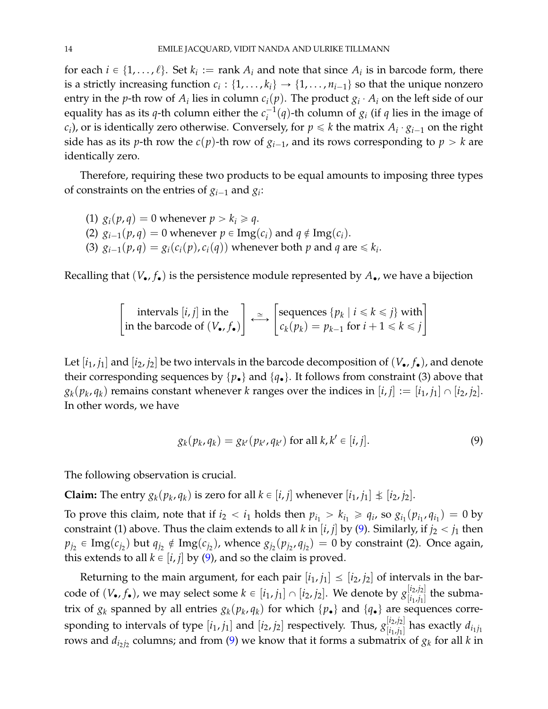for each  $i \in \{1, ..., \ell\}$ . Set  $k_i := \text{rank } A_i$  and note that since  $A_i$  is in barcode form, there is a strictly increasing function  $c_i: \{1, \ldots, k_i\} \to \{1, \ldots, n_{i-1}\}$  so that the unique nonzero entry in the *p*-th row of  $A_i$  lies in column  $c_i(p)$ . The product  $g_i \cdot A_i$  on the left side of our equality has as its *q*-th column either the  $c_i^{-1}$  $i_i^{-1}(q)$ -th column of  $g_i$  (if *q* lies in the image of *c*<sub>*i*</sub>), or is identically zero otherwise. Conversely, for  $p \leq k$  the matrix  $A_i \cdot g_{i-1}$  on the right side has as its *p*-th row the  $c(p)$ -th row of  $g_{i-1}$ , and its rows corresponding to  $p > k$  are identically zero.

Therefore, requiring these two products to be equal amounts to imposing three types of constraints on the entries of  $g_{i-1}$  and  $g_i$ :

(1)  $g_i(p,q) = 0$  whenever  $p > k_i \geqslant q$ . (2)  $g_{i-1}(p,q) = 0$  whenever  $p \in \text{Img}(c_i)$  and  $q \notin \text{Img}(c_i)$ . (3)  $g_{i-1}(p,q) = g_i(c_i(p), c_i(q))$  whenever both  $p$  and  $q$  are  $\leq k_i$ .

Recalling that  $(V_{\bullet}, f_{\bullet})$  is the persistence module represented by  $A_{\bullet}$ , we have a bijection

$$
\[\text{intervals } [i, j] \text{ in the}\] \xrightarrow{\simeq} \left[\text{sequences } \{p_k \mid i \leq k \leq j\} \text{ with}\right] \xrightarrow{\simeq} \left[\text{sequences } \{p_k \mid i \leq k \leq j\} \text{ with}\right] \xrightarrow{\simeq} \left[\text{c}_k(p_k) = p_{k-1} \text{ for } i+1 \leq k \leq j\right]
$$

Let  $[i_1, j_1]$  and  $[i_2, j_2]$  be two intervals in the barcode decomposition of  $(V_{\bullet}, f_{\bullet})$ , and denote their corresponding sequences by  $\{p_{\bullet}\}\$  and  $\{q_{\bullet}\}\$ . It follows from constraint (3) above that  $g_k(p_k, q_k)$  remains constant whenever *k* ranges over the indices in  $[i, j] := [i_1, j_1] \cap [i_2, j_2]$ . In other words, we have

<span id="page-13-0"></span>
$$
g_k(p_k, q_k) = g_{k'}(p_{k'}, q_{k'})
$$
 for all  $k, k' \in [i, j].$  (9)

The following observation is crucial.

**Claim:** The entry  $g_k(p_k, q_k)$  is zero for all  $k \in [i, j]$  whenever  $[i_1, j_1] \nleq [i_2, j_2]$ .

To prove this claim, note that if  $i_2 < i_1$  holds then  $p_{i_1} > k_{i_1} \geqslant q_i$ , so  $g_{i_1}(p_{i_1}, q_{i_1}) = 0$  by constraint (1) above. Thus the claim extends to all *k* in [*i*, *j*] by [\(9\)](#page-13-0). Similarly, if  $j_2 < j_1$  then  $p_{j_2} \in \text{Img}(c_{j_2})$  but  $q_{j_2} \notin \text{Img}(c_{j_2})$ , whence  $g_{j_2}(p_{j_2},q_{j_2}) = 0$  by constraint (2). Once again, this extends to all  $k \in [i, j]$  by [\(9\)](#page-13-0), and so the claim is proved.

Returning to the main argument, for each pair  $[i_1, j_1] \leq [i_2, j_2]$  of intervals in the barcode of  $(V_{\bullet}, f_{\bullet})$ , we may select some  $k \in [i_1, j_1] \cap [i_2, j_2]$ . We denote by  $g_{[i_1, j_1]}^{[i_2, j_2]}$  $\binom{[i_2, j_2]}{[i_1, j_1]}$  the submatrix of  $g_k$  spanned by all entries  $g_k(p_k, q_k)$  for which  $\{p_{\bullet}\}$  and  $\{q_{\bullet}\}$  are sequences corresponding to intervals of type  $[i_1, j_1]$  and  $[i_2, j_2]$  respectively. Thus,  $g_{[i_1, j_1]}^{[i_2, j_2]}$  $\begin{bmatrix} {i_1j_1j_1} \ {i_1j_1j_1} \end{bmatrix}$  has exactly  $d_{i_1j_1}$ rows and  $d_{i_2j_2}$  columns; and from [\(9\)](#page-13-0) we know that it forms a submatrix of  $g_k$  for all  $k$  in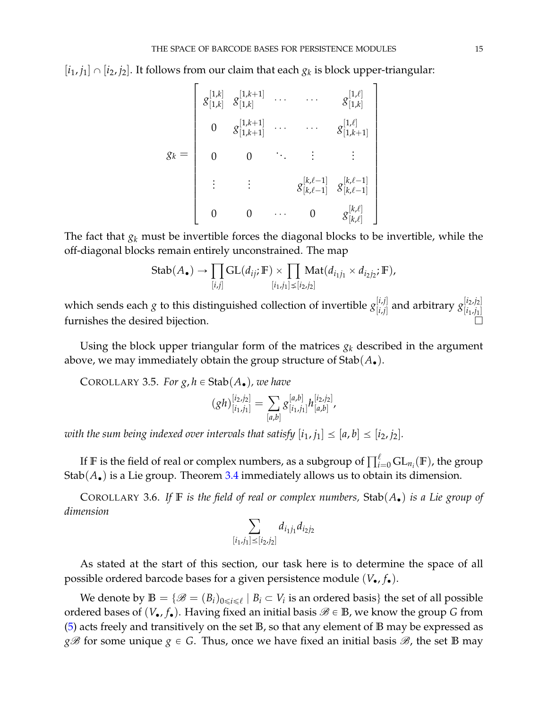$[i_1, j_1] \cap [i_2, j_2]$ . It follows from our claim that each  $g_k$  is block upper-triangular:

$$
g_{k} = \begin{bmatrix} g_{[1,k]}^{[1,k]} & g_{[1,k]}^{[1,k+1]} & \cdots & \cdots & g_{[1,k]}^{[1,\ell]} \\ 0 & g_{[1,k+1]}^{[1,k+1]} & \cdots & \cdots & g_{[1,k+1]}^{[1,\ell]} \\ 0 & 0 & \ddots & \vdots & \vdots \\ \vdots & \vdots & \ddots & g_{[k,\ell-1]}^{[k,\ell-1]} & g_{[k,\ell-1]}^{[k,\ell-1]} \\ 0 & 0 & \cdots & 0 & g_{[k,\ell]}^{[k,\ell]} \end{bmatrix}
$$

The fact that  $g_k$  must be invertible forces the diagonal blocks to be invertible, while the off-diagonal blocks remain entirely unconstrained. The map

$$
Stab(A_{\bullet}) \to \prod_{[i,j]} GL(d_{ij}; \mathbb{F}) \times \prod_{[i_1,j_1] \leq [i_2,j_2]} Mat(d_{i_1j_1} \times d_{i_2j_2}; \mathbb{F}),
$$

which sends each *g* to this distinguished collection of invertible  $g_{[i,j]}^{[i,j]}$  $\left[\begin{smallmatrix} {i,j} \ {i,j} \end{smallmatrix} \right]$  and arbitrary  $g_{\left[\begin{smallmatrix} {i_1,j_1} \ {i_1,j_1} \end{smallmatrix} \right]}^{[i_2,j_2]}$ which sends each  $\chi$  to this distinguished concentration of invertible  $\chi_{[i,j]}$  and arbitrary  $\chi_{[i_1,j_1]}$  furnishes the desired bijection.

Using the block upper triangular form of the matrices  $g_k$  described in the argument above, we may immediately obtain the group structure of  $\text{Stab}(A_{\bullet}).$ 

<span id="page-14-0"></span>COROLLARY 3.5. *For g*,  $h \in \text{Stab}(A_{\bullet})$ , we have

$$
(gh)^{[i_2,j_2]}_{[i_1,j_1]} = \sum_{[a,b]} g^{[a,b]}_{[i_1,j_1]} h^{[i_2,j_2]}_{[a,b]},
$$

*with the sum being indexed over intervals that satisfy*  $[i_1, j_1] \leq [a, b] \leq [i_2, j_2]$ *.* 

If  $\Bbb{F}$  is the field of real or complex numbers, as a subgroup of  $\prod_{i=0}^\ell \mathrm{GL}_{n_i}(\Bbb{F})$ , the group Stab $(A_{\bullet})$  is a Lie group. Theorem [3.4](#page-12-0) immediately allows us to obtain its dimension.

COROLLARY 3.6. *If* **F** *is the field of real or complex numbers,* Stab(*A*') *is a Lie group of dimension*

$$
\sum_{[i_1,j_1]\leq [i_2,j_2]} d_{i_1j_1}d_{i_2j_2}
$$

As stated at the start of this section, our task here is to determine the space of all possible ordered barcode bases for a given persistence module ( $V_{\bullet}$ ,  $f_{\bullet}$ ).

We denote by  $\mathbb{B} = \{ \mathscr{B} = (B_i)_{0 \leq i \leq \ell} \mid B_i \subset V_i \text{ is an ordered basis} \}$  the set of all possible ordered bases of  $(V_{\bullet}, f_{\bullet})$ . Having fixed an initial basis  $\mathcal{B} \in \mathbb{B}$ , we know the group *G* from [\(5\)](#page-5-0) acts freely and transitively on the set **B**, so that any element of **B** may be expressed as *g* $\mathscr{B}$  for some unique *g*  $\in$  *G*. Thus, once we have fixed an initial basis  $\mathscr{B}$ , the set **B** may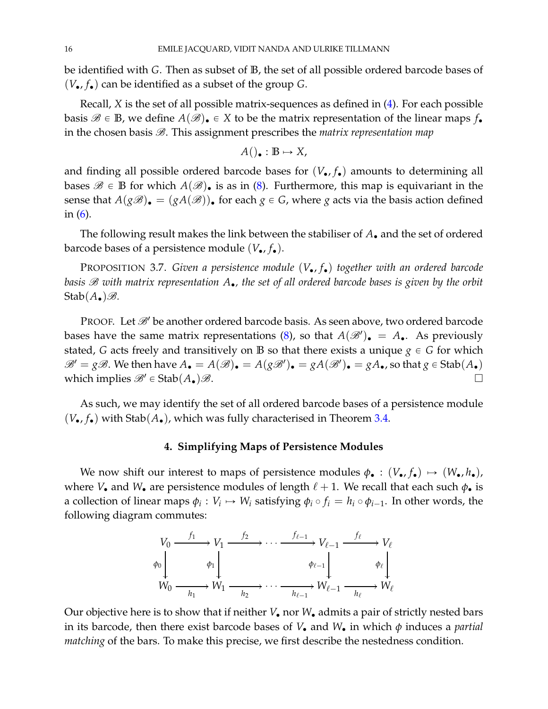be identified with *G*. Then as subset of **B**, the set of all possible ordered barcode bases of  $(V_{\bullet}, f_{\bullet})$  can be identified as a subset of the group *G*.

Recall, *X* is the set of all possible matrix-sequences as defined in [\(4\)](#page-5-1). For each possible basis  $\mathscr{B} \in \mathbb{B}$ , we define  $A(\mathscr{B})_{\bullet} \in X$  to be the matrix representation of the linear maps  $f_{\bullet}$ in the chosen basis  $\mathscr{B}$ . This assignment prescribes the *matrix representation map* 

$$
A()_{\bullet} : \mathbb{B} \mapsto X,
$$

and finding all possible ordered barcode bases for  $(V_{\bullet}, f_{\bullet})$  amounts to determining all bases  $\mathscr{B} \in \mathbb{B}$  for which  $A(\mathscr{B})_0$  is as in [\(8\)](#page-12-1). Furthermore, this map is equivariant in the sense that  $A(g\mathscr{B})_{\bullet} = (gA(\mathscr{B}))_{\bullet}$  for each  $g \in G$ , where  $g$  acts via the basis action defined in [\(6\)](#page-5-2).

The following result makes the link between the stabiliser of  $A_{\bullet}$  and the set of ordered barcode bases of a persistence module  $(V_{\bullet}, f_{\bullet})$ .

<span id="page-15-1"></span>PROPOSITION 3.7. Given a persistence module  $(V_{\bullet}, f_{\bullet})$  together with an ordered barcode *basis* B *with matrix representation A*'*, the set of all ordered barcode bases is given by the orbit*  $Stab(A_{\bullet})\mathscr{B}.$ 

PROOF. Let  $\mathcal{B}'$  be another ordered barcode basis. As seen above, two ordered barcode bases have the same matrix representations [\(8\)](#page-12-1), so that  $A(\mathscr{B}')$  =  $A$ . As previously stated, *G* acts freely and transitively on **B** so that there exists a unique  $g \in G$  for which  $\mathscr{B}' = g\mathscr{B}$ . We then have  $A_{\bullet} = A(\mathscr{B})_{\bullet} = A(g\mathscr{B}')_{\bullet} = gA(\mathscr{B}')_{\bullet} = gA_{\bullet}$ , so that  $g \in \text{Stab}(A_{\bullet})$ which implies  $\mathscr{B}' \in \text{Stab}(A_{\bullet})\mathscr{B}.$ 

<span id="page-15-0"></span>As such, we may identify the set of all ordered barcode bases of a persistence module  $(V_{\bullet}, f_{\bullet})$  with Stab $(A_{\bullet})$ , which was fully characterised in Theorem [3.4.](#page-12-0)

### **4. Simplifying Maps of Persistence Modules**

We now shift our interest to maps of persistence modules  $\phi_{\bullet} : (V_{\bullet}, f_{\bullet}) \mapsto (W_{\bullet}, h_{\bullet}),$ where *V*<sub>•</sub> and *W*<sub>•</sub> are persistence modules of length  $\ell + 1$ . We recall that each such  $\phi_{\bullet}$  is a collection of linear maps  $\phi_i: V_i \mapsto W_i$  satisfying  $\phi_i \circ f_i = h_i \circ \phi_{i-1}$ . In other words, the following diagram commutes:

$$
V_0 \xrightarrow{f_1} V_1 \xrightarrow{f_2} \cdots \xrightarrow{f_{\ell-1}} V_{\ell-1} \xrightarrow{f_{\ell}} V_{\ell}
$$
  
\n
$$
\phi_0 \downarrow \qquad \phi_1 \downarrow \qquad \phi_{\ell-1} \downarrow \qquad \phi_{\ell} \downarrow
$$
  
\n
$$
W_0 \xrightarrow[h_1 \to W_1 \to h_2 \to \cdots \to h_{\ell-1} \to W_{\ell-1} \to W_{\ell}
$$

Our objective here is to show that if neither *V*. nor *W*. admits a pair of strictly nested bars in its barcode, then there exist barcode bases of  $V_{\bullet}$  and  $W_{\bullet}$  in which  $\phi$  induces a *partial matching* of the bars. To make this precise, we first describe the nestedness condition.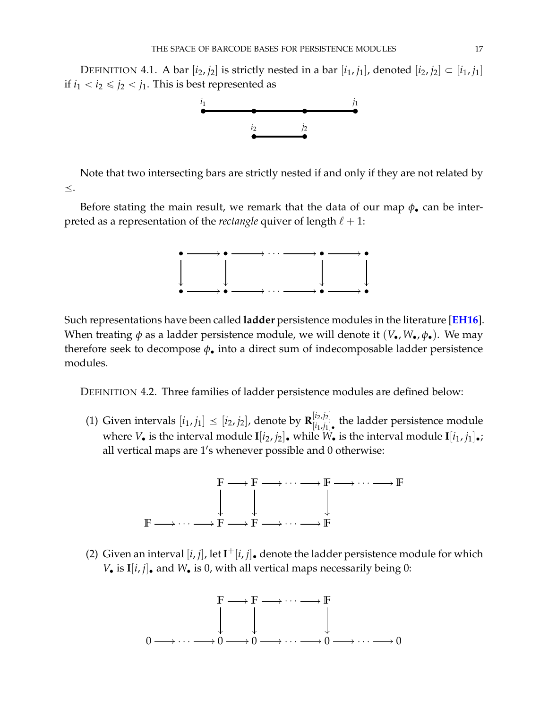<span id="page-16-0"></span>DEFINITION 4.1. A bar  $[i_2, j_2]$  is strictly nested in a bar  $[i_1, j_1]$ , denoted  $[i_2, j_2] \subset [i_1, j_1]$ if  $i_1 < i_2 \le j_2 < j_1$ . This is best represented as



Note that two intersecting bars are strictly nested if and only if they are not related by  $\leq$ .

Before stating the main result, we remark that the data of our map  $\phi_{\bullet}$  can be interpreted as a representation of the *rectangle* quiver of length  $\ell + 1$ :



Such representations have been called **ladder** persistence modules in the literature [**[EH16](#page-28-10)**]. When treating  $\phi$  as a ladder persistence module, we will denote it  $(V_{\bullet}, W_{\bullet}, \phi_{\bullet})$ . We may therefore seek to decompose  $\phi_{\bullet}$  into a direct sum of indecomposable ladder persistence modules.

DEFINITION 4.2. Three families of ladder persistence modules are defined below:

(1) Given intervals  $[i_1, j_1] \leq [i_2, j_2]$ , denote by  $\mathbf{R}^{[i_2, j_2]}_{[i_1, j_1]}$  $\begin{bmatrix} \frac{[t^2J/2]}{[t_1,j_1]} \end{bmatrix}$ , the ladder persistence module where  $V_{\bullet}$  is the interval module  $\mathbf{I}[i_2, j_2]_{\bullet}$  while  $W_{\bullet}$  is the interval module  $\mathbf{I}[i_1, j_1]_{\bullet}$ ; all vertical maps are 1's whenever possible and 0 otherwise:



(2) Given an interval  $[i, j]$ , let  $I^+[i, j]$ , denote the ladder persistence module for which  $V_{\bullet}$  is  $I[i, j]_{\bullet}$  and  $W_{\bullet}$  is 0, with all vertical maps necessarily being 0:

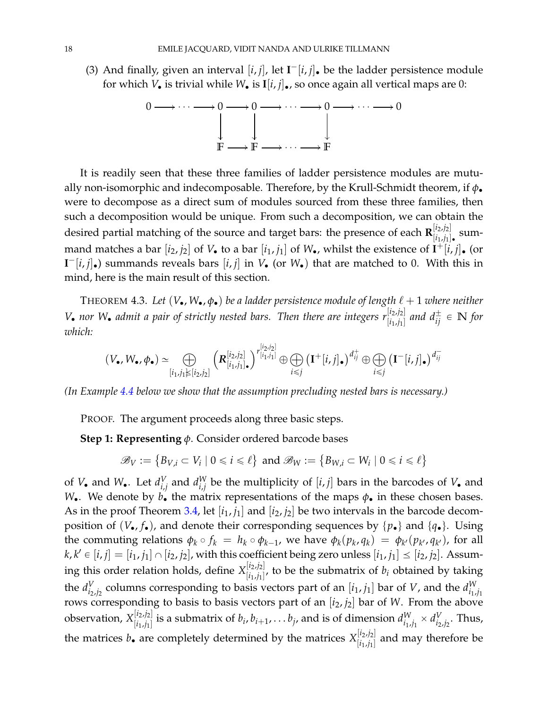(3) And finally, given an interval  $[i, j]$ , let  $I^{-}[i, j]$ , be the ladder persistence module for which  $V_{\bullet}$  is trivial while  $W_{\bullet}$  is  $\mathbf{I}[i, j]_{\bullet}$ , so once again all vertical maps are 0:



It is readily seen that these three families of ladder persistence modules are mutually non-isomorphic and indecomposable. Therefore, by the Krull-Schmidt theorem, if *φ*' were to decompose as a direct sum of modules sourced from these three families, then such a decomposition would be unique. From such a decomposition, we can obtain the desired partial matching of the source and target bars: the presence of each  $\mathbf{R}^{[i_2,j_2]}_{[i_1,j_2]}$  $\lim_{[i_1,j_1]}$ , summand matches a bar  $[i_2, j_2]$  of  $V_{\bullet}$  to a bar  $[i_1, j_1]$  of  $W_{\bullet}$ , whilst the existence of  $\mathbf{i}^+ [i, j]_{\bullet}$  (or  $\mathbf{I}^{-}[i, j]$ .) summands reveals bars  $[i, j]$  in  $V_{\bullet}$  (or  $W_{\bullet}$ ) that are matched to 0. With this in mind, here is the main result of this section.

<span id="page-17-0"></span>THEOREM 4.3. Let  $(V_{\bullet}, W_{\bullet}, \phi_{\bullet})$  be a ladder persistence module of length  $\ell + 1$  where neither  $V_{\bullet}$  *nor*  $W_{\bullet}$  *admit a pair of strictly nested bars. Then there are integers*  $r_{[i_1,i_2]}^{[i_2,i_2]}$  $\begin{bmatrix} \n i_2, i_2 \n \end{bmatrix}$  and  $d_{ij}^{\pm} \in \mathbb{N}$  for *which:*

$$
(V_{\bullet}, W_{\bullet}, \phi_{\bullet}) \simeq \bigoplus_{[i_1, j_1] \in [i_2, j_2]} \left( R_{[i_1, j_1]}^{[i_2, j_2]} \right)^{r_{[i_1, j_1]}^{[i_2, j_2]}} \oplus \bigoplus_{i \leq j} \left( I^+[i, j]_{\bullet} \right)^{d_{ij}^+} \oplus \bigoplus_{i \leq j} \left( I^-[i, j]_{\bullet} \right)^{d_{ij}^-}
$$

*(In Example [4.4](#page-20-0) below we show that the assumption precluding nested bars is necessary.)*

PROOF. The argument proceeds along three basic steps.

**Step 1: Representing** *φ*. Consider ordered barcode bases

$$
\mathscr{B}_V := \{ B_{V,i} \subset V_i \mid 0 \leq i \leq \ell \} \text{ and } \mathscr{B}_W := \{ B_{W,i} \subset W_i \mid 0 \leq i \leq \ell \}
$$

of  $V_{\bullet}$  and  $W_{\bullet}$ . Let  $d_i^V$  $_{i,j}^V$  and  $d_{i,j}^W$  $\begin{bmatrix} W \\ i,j \end{bmatrix}$  be the multiplicity of  $[i,j]$  bars in the barcodes of  $V_{\bullet}$  and *W*. We denote by  $b_{\bullet}$  the matrix representations of the maps  $\phi_{\bullet}$  in these chosen bases. As in the proof Theorem [3.4,](#page-12-0) let  $[i_1, j_1]$  and  $[i_2, j_2]$  be two intervals in the barcode decomposition of  $(V_{\bullet}, f_{\bullet})$ , and denote their corresponding sequences by  $\{p_{\bullet}\}\$  and  $\{q_{\bullet}\}\$ . Using the commuting relations  $\phi_k \circ f_k = h_k \circ \phi_{k-1}$ , we have  $\phi_k(p_k, q_k) = \phi_{k'}(p_{k'}, q_{k'})$ , for all  $k, k' \in [i, j] = [i_1, j_1] \cap [i_2, j_2]$ , with this coefficient being zero unless  $[i_1, j_1] \leq [i_2, j_2]$ . Assuming this order relation holds, define  $X_{[i_1,i_2]}^{[i_2,j_2]}$  $\begin{bmatrix} \frac{1}{2} & j \end{bmatrix}$ , to be the submatrix of  $b_i$  obtained by taking the  $d_{i_2}^V$  $i_{2,j_2}$  columns corresponding to basis vectors part of an  $[i_1,j_1]$  bar of *V*, and the  $d_{i_1,j_2}^W$ *i*1 ,*j*1 rows corresponding to basis to basis vectors part of an [*i*2, *j*2] bar of *W*. From the above observation, *X* [*i*2,*j*2]  $\begin{bmatrix} {^{l_{2},l_{2l}}}\end{bmatrix}$  is a submatrix of  $b_{i}, b_{i+1}, \ldots b_{j}$ , and is of dimension  $d_{i_{1},i_{2l}}^{W}$  $d_{i_1,j_1}^V \times d_{i_2}^V$  $\int_{i_2,j_2}^{V}$ . Thus, the matrices  $b_{\bullet}$  are completely determined by the matrices  $X_{[i_1,i_2]}^{[i_2,j_2]}$  $\begin{bmatrix} [l_2, j_2] \ [l_1, j_1] \end{bmatrix}$  and may therefore be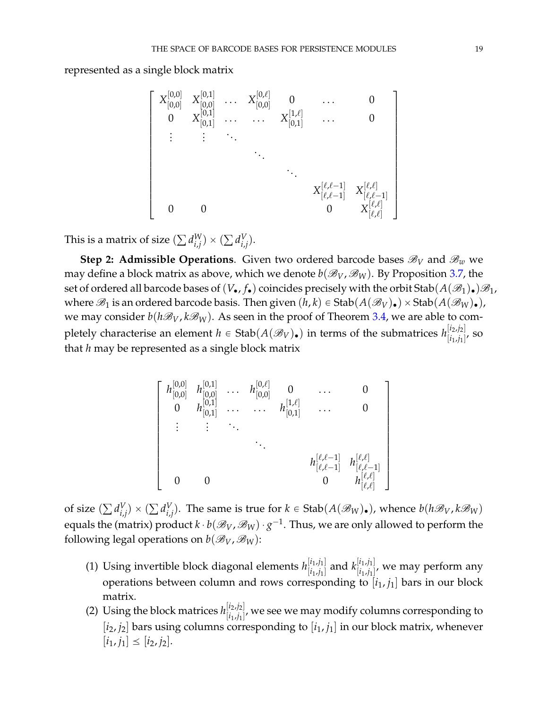represented as a single block matrix

$$
\left[\begin{array}{cccccc} X_{[0,0]}^{[0,0]} & X_{[0,0]}^{[0,1]} & \dots & X_{[0,0]}^{[0,\ell]} & 0 & \dots & 0 \\ 0 & X_{[0,1]}^{[0,1]} & \dots & \dots & X_{[0,1]}^{[1,\ell]} & \dots & 0 \\ \vdots & \vdots & \ddots & & & & \\ & & \ddots & & & & \\ & & & & X_{[\ell,\ell-1]}^{[\ell,\ell-1]} & X_{[\ell,\ell-1]}^{[\ell,\ell]} \\ 0 & 0 & & & & 0 & X_{[\ell,\ell]}^{[\ell,\ell]} \end{array}\right]
$$

This is a matrix of size  $(\sum d_{i,j}^W)$  $_{i,j}^W) \times (\sum d_{i,j}^V$ *i*,*j* ).

**Step 2: Admissible Operations**. Given two ordered barcode bases  $\mathscr{B}_V$  and  $\mathscr{B}_w$  we may define a block matrix as above, which we denote  $b(\mathcal{B}_V, \mathcal{B}_W)$ . By Proposition [3.7,](#page-15-1) the set of ordered all barcode bases of  $(V_{\bullet}, f_{\bullet})$  coincides precisely with the orbit Stab $(A(\mathscr{B}_1)_{\bullet})\mathscr{B}_1$ , where  $\mathscr{B}_1$  is an ordered barcode basis. Then given  $(h, k) \in \text{Stab}(A(\mathscr{B}_V)_\bullet) \times \text{Stab}(A(\mathscr{B}_W)_\bullet)$ , we may consider  $b(h\mathcal{B}_V, k\mathcal{B}_W)$ . As seen in the proof of Theorem [3.4,](#page-12-0) we are able to completely characterise an element  $h \in \mathrm{Stab}(A(\mathscr{B}_V)_\bullet)$  in terms of the submatrices  $h_{[i_1,j_1]}^{[i_2,j_2]}$  $\begin{bmatrix} i^{2j/2} \\ i_1, j_1 \end{bmatrix}$ , so that *h* may be represented as a single block matrix

$$
\begin{bmatrix}\nh_{[0,0]}^{[0,0]} & h_{[0,1]}^{[0,1]} & \dots & h_{[0,0]}^{[0,\ell]} & 0 & \dots & 0 \\
0 & h_{[0,1]}^{[0,1]} & \dots & \dots & h_{[0,1]}^{[1,\ell]} & \dots & 0 \\
\vdots & \vdots & \ddots & & & \\
& & \ddots & & & \\
& & & h_{[\ell,\ell-1]}^{[\ell,\ell-1]} & h_{[\ell,\ell-1]}^{[\ell,\ell]} \\
0 & 0 & & & 0 & h_{[\ell,\ell]}^{[\ell,\ell]}\n\end{bmatrix}
$$

of size  $(\sum d_{i,j}^V)$  $_{i,j}^{V})\times(\sum d_{i,j}^{V}% \hat{u}_{i,j}^{V})=\sum_{i,j}^{V}\sum_{j=1}^{N}\sum_{j=1}^{N}\sum_{j=1}^{N}\sum_{j=1}^{N}\sum_{j=1}^{N}\sum_{j=1}^{N}\sum_{j=1}^{N}\sum_{j=1}^{N}\sum_{j=1}^{N}\sum_{j=1}^{N}$ *i*,*j*). The same is true for  $k \in \text{Stab}(A(\mathscr{B}_W)_\bullet)$ , whence  $b(h\mathscr{B}_V, k\mathscr{B}_W)$ equals the (matrix) product  $k \cdot b(\mathscr{B}_V, \mathscr{B}_W) \cdot g^{-1}$ . Thus, we are only allowed to perform the following legal operations on  $b(\mathcal{B}_V, \mathcal{B}_W)$ :

- (1) Using invertible block diagonal elements  $h_{[i_1,j_1]}^{[i_1,j_1]}$  $\begin{bmatrix} i_1, j_1 \ i_1, j_1 \end{bmatrix}$  and  $k \begin{bmatrix} i_1, j_1 \ i_1, j_1 \end{bmatrix}$  $\begin{bmatrix} \mu_1, \mu_1 \\ \mu_2, \mu_1 \end{bmatrix}$ , we may perform any operations between column and rows corresponding to [*i*1, *j*1] bars in our block matrix.
- (2) Using the block matrices  $h_{[i_1,i_2]}^{[i_2,j_2]}$  $\frac{[i_1 i_2 j_2]}{[i_1,j_1]}$ , we see we may modify columns corresponding to  $[i_2, j_2]$  bars using columns corresponding to  $[i_1, j_1]$  in our block matrix, whenever  $[i_1, j_1] \leq [i_2, j_2].$

1

 $\overline{1}$  $\overline{1}$  $\overline{1}$  $\overline{1}$  $\mathbf{I}$  $\overline{a}$  $\overline{1}$  $\overline{1}$  $\overline{1}$  $\overline{1}$  $\overline{1}$  $\overline{1}$  $\mathbf{I}$  $\overline{a}$  $\overline{1}$ 

1

 $\overline{1}$  $\overline{1}$  $\overline{1}$  $\overline{1}$  $\overline{1}$  $\mathbf{I}$  $\overline{1}$  $\overline{1}$  $\overline{1}$  $\overline{1}$  $\overline{1}$  $\overline{1}$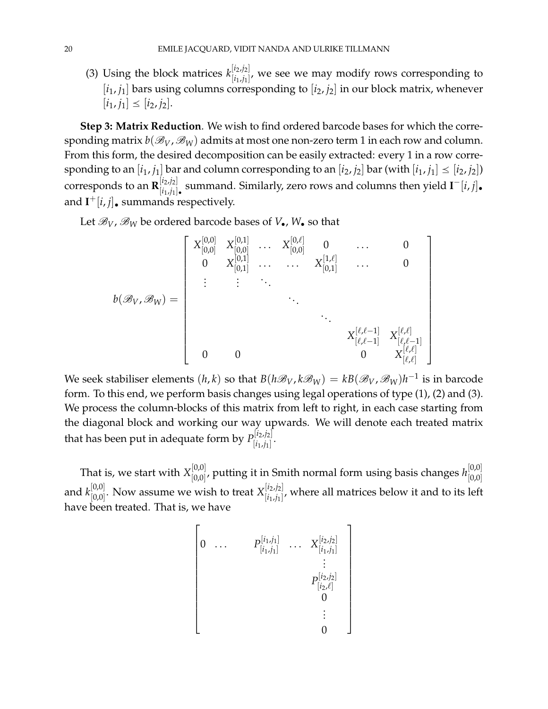(3) Using the block matrices  $k_{[i_1,i_2]}^{[i_2,j_2]}$  $\begin{bmatrix} \frac{[i_2 j_2]}{[i_1,j_1]}$ , we see we may modify rows corresponding to  $[i_1, j_1]$  bars using columns corresponding to  $[i_2, j_2]$  in our block matrix, whenever  $[i_1, j_1] \leq [i_2, j_2].$ 

**Step 3: Matrix Reduction**. We wish to find ordered barcode bases for which the corresponding matrix  $b(\mathcal{B}_V, \mathcal{B}_W)$  admits at most one non-zero term 1 in each row and column. From this form, the desired decomposition can be easily extracted: every 1 in a row corresponding to an  $[i_1, j_1]$  bar and column corresponding to an  $[i_2, j_2]$  bar (with  $[i_1, j_1] \leq [i_2, j_2]$ ) corresponds to an **R** [*i*2,*j*2]  $\begin{bmatrix} |i_2, j_2| \ i_1, j_1 \end{bmatrix}$ , summand. Similarly, zero rows and columns then yield  $\mathbf{I}^{-}[i, j]$ . and  $I^+[i,j]$ , summands respectively.

Let  $\mathcal{B}_V$ ,  $\mathcal{B}_W$  be ordered barcode bases of  $V_{\bullet}$ ,  $W_{\bullet}$  so that

$$
b(\mathscr{B}_V, \mathscr{B}_W) = \left[\begin{array}{ccccccc} X^{[0,0]}_{[0,0]} & X^{[0,1]}_{[0,0]} & \cdots & X^{[0,\ell]}_{[0,0]} & 0 & \cdots & 0 \\ 0 & X^{[0,1]}_{[0,1]} & \cdots & \cdots & X^{[1,\ell]}_{[0,1]} & \cdots & 0 \\ \vdots & \vdots & \ddots & & & & \\ & & \ddots & & & & \\ & & & & X^{[\ell,\ell-1]}_{[\ell,\ell-1]} & X^{[\ell,\ell]}_{[\ell,\ell-1]} \\ & & & & & 0 & X^{[\ell,\ell]}_{[\ell,\ell]} \\ 0 & 0 & & & 0 & X^{[\ell,\ell]}_{[\ell,\ell]} \end{array}\right]
$$

We seek stabiliser elements  $(h, k)$  so that  $B(h\mathscr{B}_V, k\mathscr{B}_W) = kB(\mathscr{B}_V, \mathscr{B}_W)h^{-1}$  is in barcode form. To this end, we perform basis changes using legal operations of type (1), (2) and (3). We process the column-blocks of this matrix from left to right, in each case starting from the diagonal block and working our way upwards. We will denote each treated matrix that has been put in adequate form by  $P_{[i_1,i_2]}^{[i_2,j_2]}$  $\begin{bmatrix} i_1, j_1 \end{bmatrix}$ .

That is, we start with  $X_{[0,0]}^{[0,0]}$  $_{[0,0]}^{[0,0]}$ , putting it in Smith normal form using basis changes  $h_{[0,0]}^{[0,0]}$  $[0,0]$ and  $k_{[0,0]}^{[0,0]}$  $_{[0,0]}^{[0,0]}$ . Now assume we wish to treat  $X_{[i_1,j_1]}^{[i_2,j_2]}$  $\left[\frac{[i_1 j_2]}{[i_1,j_1]},$  where all matrices below it and to its left have been treated. That is, we have

$$
\begin{bmatrix}\n0 & \dots & P_{[i_1,j_1]}^{[i_1,j_1]} & \dots & X_{[i_1,j_1]}^{[i_2,j_2]} \\
 & & \vdots & \vdots \\
 & & & P_{[i_2,\ell]}^{[i_2,j_2]} \\
 & & & & 0 \\
 & & & & \vdots \\
 & & & & 0\n\end{bmatrix}
$$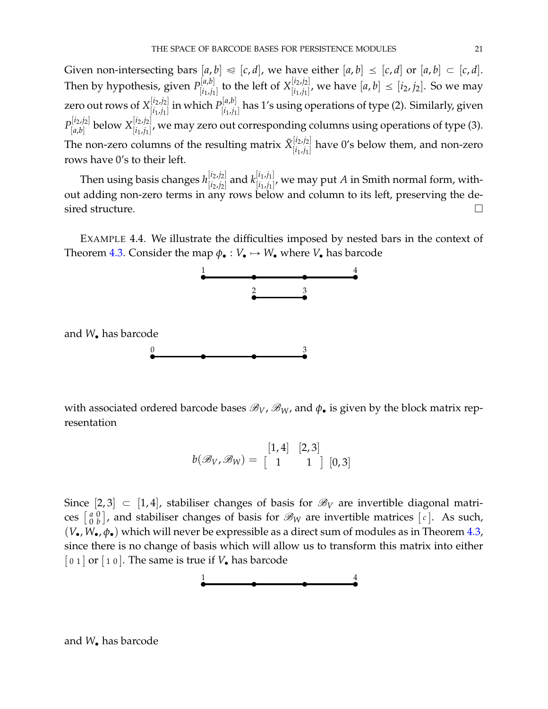Given non-intersecting bars  $[a, b] \leq [c, d]$ , we have either  $[a, b] \leq [c, d]$  or  $[a, b] \subset [c, d]$ . Then by hypothesis, given  $P_{[i,j]}^{[a,b]}$  $\left[\begin{smallmatrix} {a}, {b} \ {i}_1, {j}_1 \end{smallmatrix}\right]$  to the left of  $X_{[i_1, j_1]}^{[i_2, j_2]}$  $\left[\begin{array}{c} {i_1j_1} \ {i_1j_1} \end{array}\right]$ , we have  $\left[a,b\right] \leq \left[\begin{array}{c} {i_2,j_2} \end{array}\right]$ . So we may zero out rows of  $X_{[i_1,i_2]}^{[i_2,j_2]}$  $\binom{[i_2,j_2]}{[i_1,j_1]}$  in which  $P_{[i_1,j_1]}^{[a,b]}$  $\frac{f_1[a,b]}{[i_1,j_1]}$  has  $1'$ s using operations of type (2). Similarly, given  $P_{[a\;b]}^{[i_2,j_2]}$ [*a*,*b*] below *X* [*i*2,*j*2]  $\frac{[t^{2j/2}]}{[i_1,j_1]}$ , we may zero out corresponding columns using operations of type (3). The non-zero columns of the resulting matrix  $\tilde{X}^{[i_2,j_2]}_{[i_1,i_2]}$  $\begin{bmatrix} [u_1, u_2] \ [i_1, j_1] \end{bmatrix}$  have 0's below them, and non-zero rows have 0's to their left.

Then using basis changes *h* [*i*2,*j*2]  $\begin{bmatrix} i_2, i_2 \ i_2, i_2 \end{bmatrix}$  and  $k^{\left[ i_1, i_1 \right]}_{\left[ i_1, i_1 \right]}$  $\binom{[i_1,j_1]}{[i_1,j_1]}$ , we may put *A* in Smith normal form, without adding non-zero terms in any rows below and column to its left, preserving the desired structure.

<span id="page-20-0"></span>EXAMPLE 4.4. We illustrate the difficulties imposed by nested bars in the context of Theorem [4.3.](#page-17-0) Consider the map  $\phi_{\bullet}: V_{\bullet} \mapsto W_{\bullet}$  where  $V_{\bullet}$  has barcode



with associated ordered barcode bases  $\mathcal{B}_V$ ,  $\mathcal{B}_W$ , and  $\phi_{\bullet}$  is given by the block matrix representation

$$
b(\mathscr{B}_V, \mathscr{B}_W) = \begin{bmatrix} 1, 4 & [2, 3] \\ 1 & 1 & [0, 3] \end{bmatrix}
$$

Since  $[2, 3] \subset [1, 4]$ , stabiliser changes of basis for  $\mathcal{B}_V$  are invertible diagonal matri- $\cos \left[ \begin{smallmatrix} a & 0 \\ 0 & b \end{smallmatrix} \right]$  $\left[\begin{smallmatrix} a&0\0&b \end{smallmatrix}\right]$ , and stabiliser changes of basis for  $\mathscr{B}_{W}$  are invertible matrices  $[\mathfrak{c}]$ . As such,  $(V_{\bullet}, W_{\bullet}, \phi_{\bullet})$  which will never be expressible as a direct sum of modules as in Theorem [4.3,](#page-17-0) since there is no change of basis which will allow us to transform this matrix into either  $\lceil 0 \, 1 \rceil$  or  $\lceil 1 \, 0 \rceil$ . The same is true if  $V_{\bullet}$  has barcode



and *W*. has barcode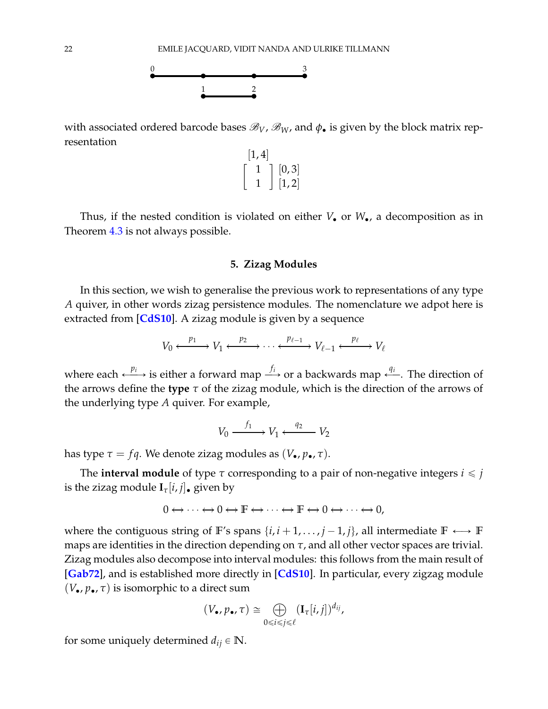

with associated ordered barcode bases  $\mathcal{B}_V$ ,  $\mathcal{B}_W$ , and  $\phi_{\bullet}$  is given by the block matrix representation



<span id="page-21-0"></span>Thus, if the nested condition is violated on either  $V_{\bullet}$  or  $W_{\bullet}$ , a decomposition as in Theorem [4.3](#page-17-0) is not always possible.

### **5. Zizag Modules**

In this section, we wish to generalise the previous work to representations of any type *A* quiver, in other words zizag persistence modules. The nomenclature we adpot here is extracted from [**[CdS10](#page-28-2)**]. A zizag module is given by a sequence

$$
V_0 \xleftarrow{p_1} V_1 \xleftarrow{p_2} \cdots \xleftarrow{p_{\ell-1}} V_{\ell-1} \xleftarrow{p_{\ell}} V_{\ell}
$$

where each  $\longleftrightarrow$  is either a forward map  $\xrightarrow{f_i}$  or a backwards map  $\xleftarrow{q_i}$ . The direction of the arrows define the **type** *τ* of the zizag module, which is the direction of the arrows of the underlying type *A* quiver. For example,

$$
V_0 \xrightarrow{f_1} V_1 \xleftarrow{q_2} V_2
$$

has type  $\tau = \int q$ . We denote zizag modules as  $(V_{\bullet}, p_{\bullet}, \tau)$ .

The **interval module** of type  $\tau$  corresponding to a pair of non-negative integers  $i \leq j$ is the zizag module  $\mathbf{I}_{\tau}[i, j]$ , given by

$$
0 \leftrightarrow \cdots \leftrightarrow 0 \leftrightarrow \mathbb{F} \leftrightarrow \cdots \leftrightarrow \mathbb{F} \leftrightarrow 0 \leftrightarrow \cdots \leftrightarrow 0,
$$

where the contiguous string of **F**'s spans  $\{i, i+1, \ldots, j-1, j\}$ , all intermediate  $\mathbb{F} \longleftrightarrow \mathbb{F}$ maps are identities in the direction depending on *τ*, and all other vector spaces are trivial. Zizag modules also decompose into interval modules: this follows from the main result of [**[Gab72](#page-28-0)**], and is established more directly in [**[CdS10](#page-28-2)**]. In particular, every zigzag module  $(V_{\bullet}, p_{\bullet}, \tau)$  is isomorphic to a direct sum

$$
(V_{\bullet}, p_{\bullet}, \tau) \cong \bigoplus_{0 \leq i \leq j \leq \ell} (\mathbf{I}_{\tau}[i,j])^{d_{ij}},
$$

for some uniquely determined  $d_{ij} \in \mathbb{N}$ .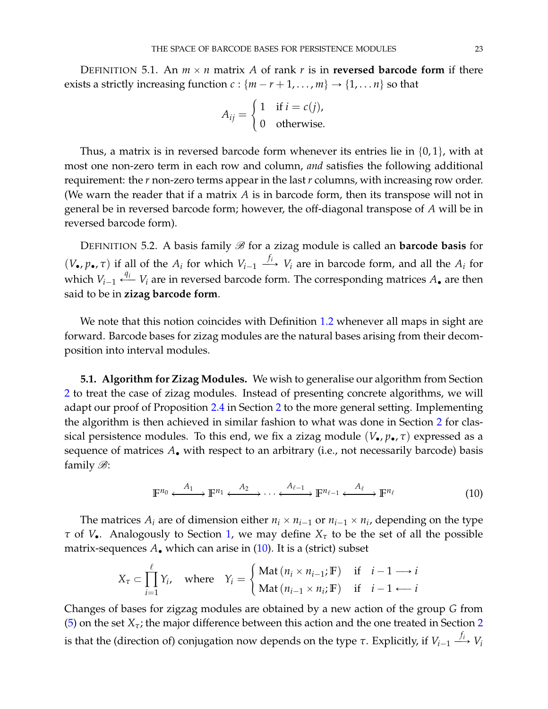DEFINITION 5.1. An  $m \times n$  matrix A of rank  $r$  is in **reversed barcode form** if there exists a strictly increasing function  $c : \{m - r + 1, \ldots, m\} \rightarrow \{1, \ldots, n\}$  so that

$$
A_{ij} = \begin{cases} 1 & \text{if } i = c(j), \\ 0 & \text{otherwise.} \end{cases}
$$

Thus, a matrix is in reversed barcode form whenever its entries lie in  $\{0, 1\}$ , with at most one non-zero term in each row and column, *and* satisfies the following additional requirement: the *r* non-zero terms appear in the last *r* columns, with increasing row order. (We warn the reader that if a matrix *A* is in barcode form, then its transpose will not in general be in reversed barcode form; however, the off-diagonal transpose of *A* will be in reversed barcode form).

DEFINITION 5.2. A basis family  $\mathscr{B}$  for a zizag module is called an **barcode basis** for  $(V_{\bullet}, p_{\bullet}, \tau)$  if all of the  $A_i$  for which  $V_{i-1} \stackrel{f_i}{\longrightarrow} V_i$  are in barcode form, and all the  $A_i$  for which  $V_{i-1} \stackrel{q_i}{\longleftarrow} V_i$  are in reversed barcode form. The corresponding matrices  $A_\bullet$  are then said to be in **zizag barcode form**.

We note that this notion coincides with Definition [1.2](#page-4-3) whenever all maps in sight are forward. Barcode bases for zizag modules are the natural bases arising from their decomposition into interval modules.

**5.1. Algorithm for Zizag Modules.** We wish to generalise our algorithm from Section [2](#page-6-0) to treat the case of zizag modules. Instead of presenting concrete algorithms, we will adapt our proof of Proposition [2.4](#page-7-0) in Section [2](#page-6-0) to the more general setting. Implementing the algorithm is then achieved in similar fashion to what was done in Section [2](#page-6-0) for classical persistence modules. To this end, we fix a zizag module  $(V_{\bullet}, p_{\bullet}, \tau)$  expressed as a sequence of matrices  $A_{\bullet}$  with respect to an arbitrary (i.e., not necessarily barcode) basis family  $\mathscr{B}$ :

<span id="page-22-0"></span>
$$
\mathbb{F}^{n_0} \xleftarrow{A_1} \mathbb{F}^{n_1} \xleftarrow{A_2} \cdots \xleftarrow{A_{\ell-1}} \mathbb{F}^{n_{\ell-1}} \xleftarrow{A_{\ell}} \mathbb{F}^{n_{\ell}}
$$
(10)

The matrices  $A_i$  are of dimension either  $n_i \times n_{i-1}$  or  $n_{i-1} \times n_i$ , depending on the type *τ* of  $V_{\bullet}$ . Analogously to Section [1,](#page-3-0) we may define  $X_{\tau}$  to be the set of all the possible matrix-sequences  $A_{\bullet}$  which can arise in  $(10)$ . It is a (strict) subset

$$
X_{\tau} \subset \prod_{i=1}^{\ell} Y_i, \quad \text{where} \quad Y_i = \begin{cases} \text{Mat} (n_i \times n_{i-1}; \mathbb{F}) & \text{if} \quad i-1 \longrightarrow i \\ \text{Mat} (n_{i-1} \times n_i; \mathbb{F}) & \text{if} \quad i-1 \longleftarrow i \end{cases}
$$

Changes of bases for zigzag modules are obtained by a new action of the group *G* from [\(5\)](#page-5-0) on the set  $X_{\tau}$ ; the major difference between this action and the one treated in Section [2](#page-6-0) is that the (direction of) conjugation now depends on the type  $\tau$ . Explicitly, if  $V_{i-1} \stackrel{f_i}{\longrightarrow} V_i$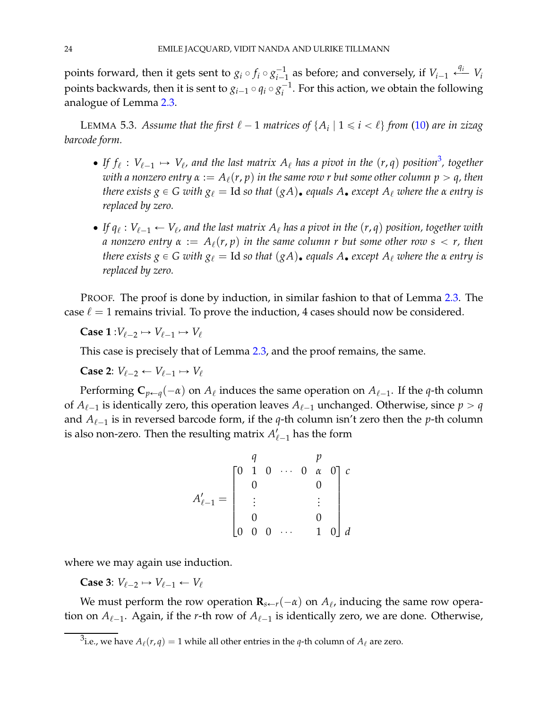points forward, then it gets sent to  $g_i\circ f_i\circ g_{i-j}^{-1}$  $\frac{1}{i-1}$  as before; and conversely, if  $V_{i-1} \leftarrow \frac{q_i}{i}$   $V_i$ points backwards, then it is sent to  $g_{i-1} \circ q_i \circ g_i^{-1}$  $i^{\text{-}1}$ . For this action, we obtain the following analogue of Lemma [2.3.](#page-6-2)

<span id="page-23-1"></span>LEMMA 5.3. *Assume that the first*  $\ell - 1$  *matrices of*  $\{A_i | 1 \leq i < \ell\}$  *from* [\(10\)](#page-22-0) *are in zizag barcode form.*

- If  $f_\ell: V_{\ell-1} \mapsto V_\ell$ , and the last matrix  $A_\ell$  has a pivot in the  $(r, q)$  position<sup>[3](#page-23-0)</sup>, together *with a nonzero entry*  $\alpha := A_{\ell}(r, p)$  *in the same row r but some other column*  $p > q$ *, then there exists g*  $\in$  *G with g*<sub>ℓ</sub> = Id *so that* (*gA*). *equals A*. *except A*<sub>ℓ</sub> *where the α entry is replaced by zero.*
- $\bullet$  *If*  $q_\ell : V_{\ell-1} \leftarrow V_\ell$ , and the last matrix  $A_\ell$  has a pivot in the  $(r,q)$  position, together with *a* nonzero entry  $\alpha := A_{\ell}(r, p)$  *in the same column r but some other row s < r, then there exists g*  $\in$  *G with g*<sub>ℓ</sub> = Id *so that* (*gA*). *equals A*. *except A*<sub>ℓ</sub> *where the α entry is replaced by zero.*

PROOF. The proof is done by induction, in similar fashion to that of Lemma [2.3.](#page-6-2) The case  $\ell = 1$  remains trivial. To prove the induction, 4 cases should now be considered.

 $Case 1: V_{\ell-2} \mapsto V_{\ell-1} \mapsto V_{\ell}$ 

This case is precisely that of Lemma [2.3,](#page-6-2) and the proof remains, the same.

**Case 2:**  $V_{\ell-2} \leftarrow V_{\ell-1} \rightarrow V_{\ell}$ 

Performing  $\mathbf{C}_{p \leftarrow q}(-\alpha)$  on  $A_\ell$  induces the same operation on  $A_{\ell-1}$ . If the *q*-th column of  $A_{\ell-1}$  is identically zero, this operation leaves  $A_{\ell-1}$  unchanged. Otherwise, since  $p > q$ and  $A_{\ell-1}$  is in reversed barcode form, if the  $q$ -th column isn't zero then the  $p$ -th column is also non-zero. Then the resulting matrix  $A'_{\ell-1}$  has the form

$$
A'_{\ell-1} = \begin{bmatrix} q & q & p & q \\ 0 & 1 & 0 & \cdots & 0 & \alpha & 0 \\ 0 & & & & & 0 & 0 \\ \vdots & & & & & \vdots & \\ 0 & 0 & 0 & \cdots & 1 & 0 \end{bmatrix} d
$$

where we may again use induction.

**Case 3:**  $V_{\ell-2} \mapsto V_{\ell-1} \leftarrow V_{\ell}$ 

We must perform the row operation  $\mathbf{R}_{s\leftarrow r}(-\alpha)$  on  $A_{\ell}$ , inducing the same row operation on  $A_{\ell-1}$ . Again, if the *r*-th row of  $A_{\ell-1}$  is identically zero, we are done. Otherwise,

<span id="page-23-0"></span> $^3$ i.e., we have  $A_{\ell}(r,q)=1$  while all other entries in the *q*-th column of  $A_{\ell}$  are zero.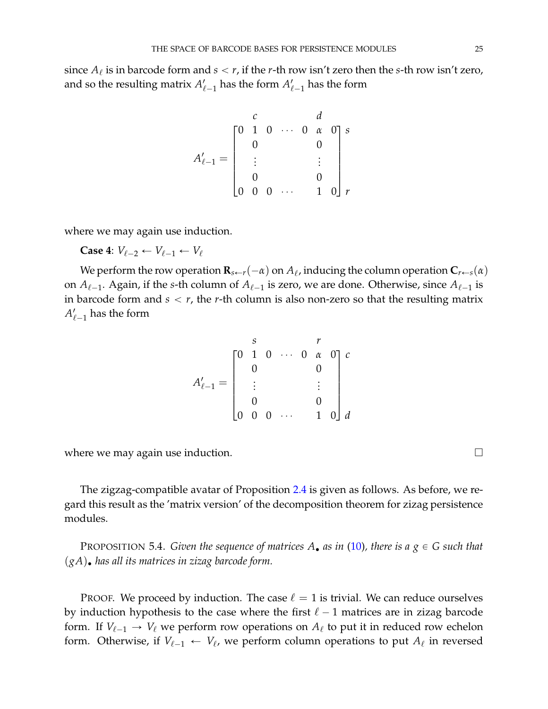since  $A_\ell$  is in barcode form and  $s < r$ , if the *r*-th row isn't zero then the *s*-th row isn't zero, and so the resulting matrix  $A'_{\ell-1}$  has the form  $A'_{\ell-1}$  has the form

$$
A'_{\ell-1} = \begin{bmatrix} 0 & 1 & 0 & \cdots & 0 & \alpha & 0 \\ 0 & 1 & 0 & \cdots & 0 & \alpha & 0 \\ 0 & & & & & & 0 \\ \vdots & & & & & \vdots & \\ 0 & 0 & 0 & \cdots & 1 & 0 \end{bmatrix} r
$$

where we may again use induction.

**Case 4:**  $V_{\ell-2} \leftarrow V_{\ell-1} \leftarrow V_{\ell}$ 

We perform the row operation  $\mathbf{R}_{s\leftarrow r}(-\alpha)$  on  $A_\ell$ , inducing the column operation  $\mathbf{C}_{r\leftarrow s}(\alpha)$ on  $A_{\ell-1}$ . Again, if the *s*-th column of  $A_{\ell-1}$  is zero, we are done. Otherwise, since  $A_{\ell-1}$  is in barcode form and  $s < r$ , the  $r$ -th column is also non-zero so that the resulting matrix  $A'_{\ell-1}$  has the form

$$
A'_{\ell-1} = \begin{bmatrix} 0 & 1 & 0 & \cdots & 0 & \alpha & 0 \\ 0 & & & & & 0 \\ \vdots & & & & \vdots & \\ 0 & & & & & 0 \\ 0 & 0 & 0 & \cdots & 1 & 0 \end{bmatrix} \begin{bmatrix} c \\ c \\ d \end{bmatrix}
$$

where we may again use induction.  $\square$ 

The zigzag-compatible avatar of Proposition [2.4](#page-7-0) is given as follows. As before, we regard this result as the 'matrix version' of the decomposition theorem for zizag persistence modules.

PROPOSITION 5.4. *Given the sequence of matrices*  $A_{\bullet}$  *as in* [\(10\)](#page-22-0)*, there is a*  $g \in G$  *such that*  $(gA)$ . has all its matrices in zizag barcode form.

PROOF. We proceed by induction. The case  $\ell = 1$  is trivial. We can reduce ourselves by induction hypothesis to the case where the first  $\ell - 1$  matrices are in zizag barcode form. If  $V_{\ell-1} \rightarrow V_{\ell}$  we perform row operations on  $A_{\ell}$  to put it in reduced row echelon form. Otherwise, if  $V_{\ell-1} \leftarrow V_{\ell}$ , we perform column operations to put  $A_{\ell}$  in reversed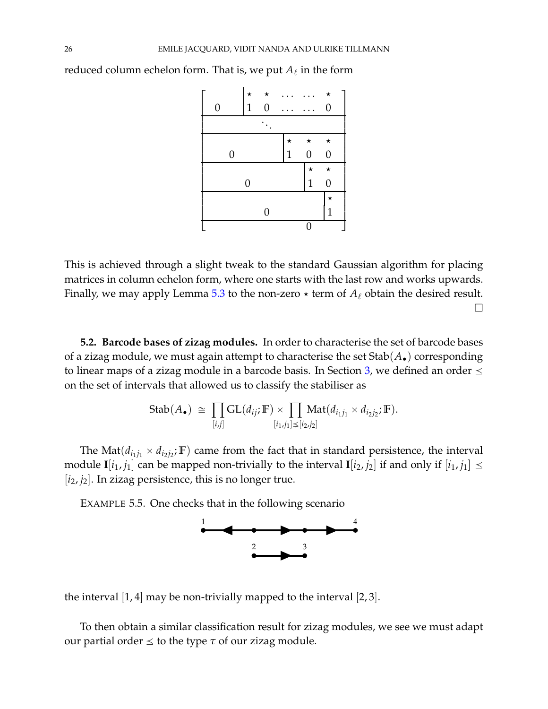

reduced column echelon form. That is, we put  $A_\ell$  in the form

This is achieved through a slight tweak to the standard Gaussian algorithm for placing matrices in column echelon form, where one starts with the last row and works upwards. Finally, we may apply Lemma [5.3](#page-23-1) to the non-zero  $\star$  term of  $A_\ell$  obtain the desired result.  $\Box$ 

**5.2. Barcode bases of zizag modules.** In order to characterise the set of barcode bases of a zizag module, we must again attempt to characterise the set  $\text{Stab}(A_{\bullet})$  corresponding to linear maps of a zizag module in a barcode basis. In Section [3,](#page-11-0) we defined an order  $\leq$ on the set of intervals that allowed us to classify the stabiliser as

$$
\text{Stab}(A_{\bullet}) \cong \prod_{[i,j]} \text{GL}(d_{ij}; \mathbb{F}) \times \prod_{[i_1,j_1] \leq [i_2,j_2]} \text{Mat}(d_{i_1j_1} \times d_{i_2j_2}; \mathbb{F}).
$$

The Mat $(d_{i_1j_1} \times d_{i_2j_2}; \mathbb{F})$  came from the fact that in standard persistence, the interval module  $I[i_1, j_1]$  can be mapped non-trivially to the interval  $I[i_2, j_2]$  if and only if  $[i_1, j_1] \leq$ [*i*2, *j*2]. In zizag persistence, this is no longer true.

EXAMPLE 5.5. One checks that in the following scenario



the interval  $[1, 4]$  may be non-trivially mapped to the interval  $[2, 3]$ .

To then obtain a similar classification result for zizag modules, we see we must adapt our partial order  $\leq$  to the type  $\tau$  of our zizag module.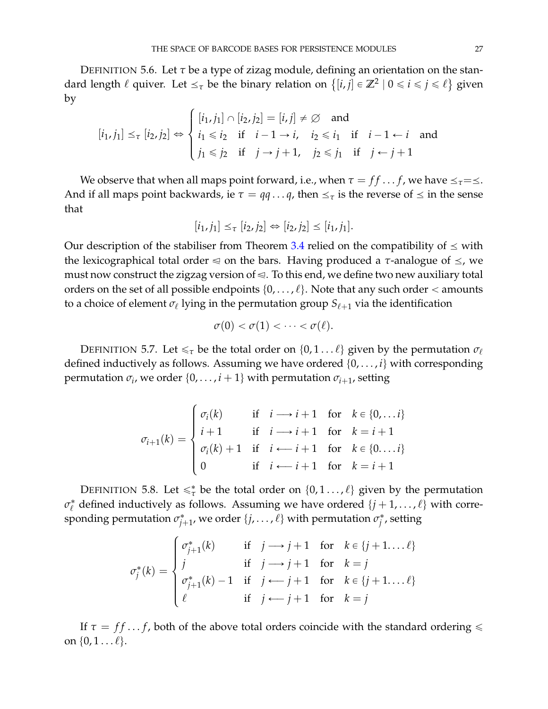DEFINITION 5.6. Let  $\tau$  be a type of zizag module, defining an orientation on the standard length  $\ell$  quiver. Let  $\leq_{\tau}$  be the binary relation on  $\{[i,j] \in \mathbb{Z}^2 \mid 0 \leq i \leq j \leq \ell\}$  given by

$$
[i_1, j_1] \leq_{\tau} [i_2, j_2] \Leftrightarrow \begin{cases} [i_1, j_1] \cap [i_2, j_2] = [i, j] \neq \varnothing & \text{and} \\ i_1 \leq i_2 & \text{if } i - 1 \to i, \quad i_2 \leq i_1 \quad \text{if } i - 1 \leftarrow i \quad \text{and} \\ j_1 \leq j_2 & \text{if } j \to j + 1, \quad j_2 \leq j_1 \quad \text{if } j \leftarrow j + 1 \end{cases}
$$

We observe that when all maps point forward, i.e., when  $\tau = ff \dots f$ , we have  $\leq_{\tau} = \leq$ . And if all maps point backwards, ie  $\tau = qq \dots q$ , then  $\leq_\tau$  is the reverse of  $\leq$  in the sense that

$$
[i_1, j_1] \leq_\tau [i_2, j_2] \Leftrightarrow [i_2, j_2] \leq [i_1, j_1].
$$

Our description of the stabiliser from Theorem [3.4](#page-12-0) relied on the compatibility of  $\leq$  with the lexicographical total order  $\leq$  on the bars. Having produced a  $\tau$ -analogue of  $\leq$ , we must now construct the zigzag version of  $\leq$ . To this end, we define two new auxiliary total orders on the set of all possible endpoints  $\{0, \ldots, \ell\}$ . Note that any such order  $\leq$  amounts to a choice of element *σ*ℓ lying in the permutation group *S*ℓ+<sup>1</sup> via the identification

$$
\sigma(0) < \sigma(1) < \cdots < \sigma(\ell).
$$

DEFINITION 5.7. Let  $\leq \tau$  be the total order on  $\{0, 1, \ldots \ell\}$  given by the permutation  $\sigma_{\ell}$ defined inductively as follows. Assuming we have ordered  $\{0, \ldots, i\}$  with corresponding permutation  $\sigma_i$ , we order  $\{0, \ldots, i+1\}$  with permutation  $\sigma_{i+1}$ , setting

$$
\sigma_{i+1}(k) = \begin{cases}\n\sigma_i(k) & \text{if } i \rightarrow i+1 \text{ for } k \in \{0, \dots, i\} \\
i+1 & \text{if } i \rightarrow i+1 \text{ for } k = i+1 \\
\sigma_i(k) + 1 & \text{if } i \leftarrow i+1 \text{ for } k \in \{0, \dots, i\} \\
0 & \text{if } i \leftarrow i+1 \text{ for } k = i+1\n\end{cases}
$$

DEFINITION 5.8. Let  $\leq^*_{\tau}$  be the total order on  $\{0, 1, \ldots, \ell\}$  given by the permutation  $\sigma_{\ell}^*$  defined inductively as follows. Assuming we have ordered  $\{j + 1, \ldots, \ell\}$  with corresponding permutation *σ* ˚  $f_{j+1}^*$ , we order  $\{j,\ldots,\ell\}$  with permutation  $\sigma_j^*$ *j* , setting

$$
\sigma_j^*(k) = \begin{cases}\n\sigma_{j+1}^*(k) & \text{if } j \longrightarrow j+1 \text{ for } k \in \{j+1,\dots,\ell\} \\
j & \text{if } j \longrightarrow j+1 \text{ for } k = j \\
\sigma_{j+1}^*(k) - 1 & \text{if } j \longleftarrow j+1 \text{ for } k \in \{j+1,\dots,\ell\} \\
\ell & \text{if } j \longleftarrow j+1 \text{ for } k = j\n\end{cases}
$$

If  $\tau = ff \dots f$ , both of the above total orders coincide with the standard ordering  $\leq$ on  $\{0, 1, \ldots \ell\}.$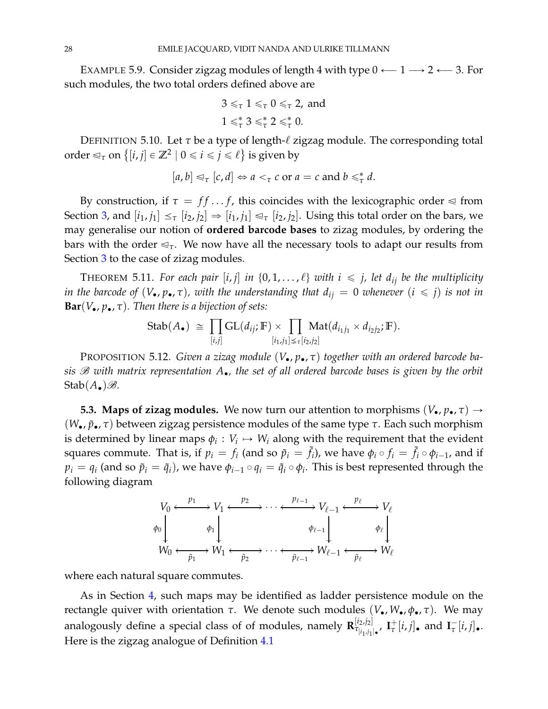EXAMPLE 5.9. Consider zigzag modules of length 4 with type  $0 \leftarrow 1 \rightarrow 2 \leftarrow 3$ . For such modules, the two total orders defined above are

$$
3 \leq_{\tau} 1 \leq_{\tau} 0 \leq_{\tau} 2, \text{ and}
$$
  

$$
1 \leq_{\tau}^* 3 \leq_{\tau}^* 2 \leq_{\tau}^* 0.
$$

DEFINITION 5.10. Let *τ* be a type of length-ℓ zigzag module. The corresponding total order  $\mathbb{Q}_\tau$  on  $\{[i, j] \in \mathbb{Z}^2 \mid 0 \leq i \leq j \leq \ell\}$  is given by

$$
[a,b] \leq_{\tau} [c,d] \Leftrightarrow a <_{\tau} c \text{ or } a = c \text{ and } b \leq_{\tau}^* d.
$$

By construction, if  $\tau = ff \dots f$ , this coincides with the lexicographic order  $\le$  from Section [3,](#page-11-0) and  $[i_1, j_1] \leq \tau [i_2, j_2] \Rightarrow [i_1, j_1] \leq \tau [i_2, j_2]$ . Using this total order on the bars, we may generalise our notion of **ordered barcode bases** to zizag modules, by ordering the bars with the order  $\leq_{\tau}$ . We now have all the necessary tools to adapt our results from Section [3](#page-11-0) to the case of zizag modules.

<span id="page-27-0"></span>THEOREM 5.11. *For each pair* [*i*, *j*] *in* {0, 1, ...,  $\ell$ } *with*  $i \le j$ , *let*  $d_{ij}$  *be the multiplicity in the barcode of*  $(V_{\bullet}, p_{\bullet}, \tau)$ *, with the understanding that*  $d_{ij} = 0$  *whenever*  $(i \le j)$  *is not in* **Bar**( $V_{\bullet}$ ,  $p_{\bullet}$ ,  $\tau$ ). Then there is a bijection of sets:

$$
\text{Stab}(A_{\bullet}) \cong \prod_{[i,j]} \text{GL}(d_{ij}; \mathbb{F}) \times \prod_{[i_1,j_1] \leq \tau[i_2,j_2]} \text{Mat}(d_{i_1j_1} \times d_{i_2j_2}; \mathbb{F}).
$$

PROPOSITION 5.12. *Given a zizag module* ( $V_{\bullet}$ ,  $p_{\bullet}$ , τ) together with an ordered barcode ba*sis* B *with matrix representation A*'*, the set of all ordered barcode bases is given by the orbit*  $Stab(A_{\bullet})\mathscr{B}.$ 

**5.3. Maps of zizag modules.** We now turn our attention to morphisms  $(V_{\bullet}, p_{\bullet}, \tau) \rightarrow$ (*W*', *p*˜', *τ*) between zigzag persistence modules of the same type *τ*. Each such morphism is determined by linear maps  $\phi_i: V_i \mapsto W_i$  along with the requirement that the evident squares commute. That is, if  $p_i = f_i$  (and so  $\tilde{p}_i = \tilde{f}_i$ ), we have  $\phi_i \circ f_i = \tilde{f}_i \circ \phi_{i-1}$ , and if  $p_i = q_i$  (and so  $\tilde{p}_i = \tilde{q}_i$ ), we have  $\phi_{i-1} \circ q_i = \tilde{q}_i \circ \phi_i$ . This is best represented through the following diagram



where each natural square commutes.

As in Section [4,](#page-15-0) such maps may be identified as ladder persistence module on the rectangle quiver with orientation *τ*. We denote such modules (*V*', *W*', *φ*', *τ*). We may analogously define a special class of of modules, namely  $\mathbf{R}_{\tau_{[i_k,j_k]}}^{[i_2,j_2]}$  $\frac{|i_2,j_2|}{\tau_{[i_1,j_1]}}$ ,  $\mathbf{I}_{\tau}^+[i,j]$ , and  $\mathbf{I}_{\tau}^ \frac{1}{\tau}[i,j]$ . Here is the zigzag analogue of Definition [4.1](#page-16-0)